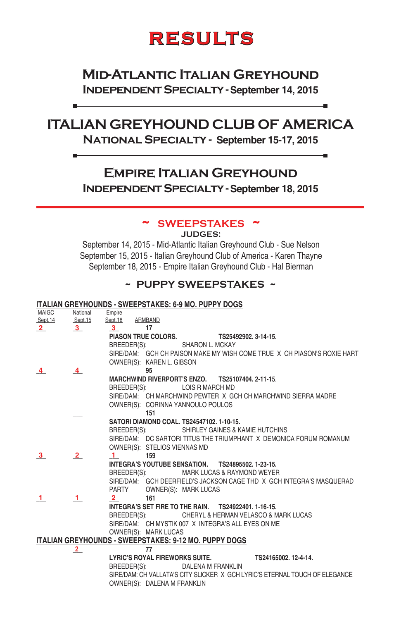# **RESULTS**

# **Mid-Atlantic Italian Greyhound Independent Specialty - September 14, 2015**

# **ITALIAN GREYHOUND CLUB OF AMERICA National Specialty - September 15-17, 2015**

# **Empire Italian Greyhound Independent Specialty - September 18, 2015**

### **~ SWEEPSTAKES ~**

**JUDGES:**

September 14, 2015 - Mid-Atlantic Italian Greyhound Club - Sue Nelson September 15, 2015 - Italian Greyhound Club of America - Karen Thayne September 18, 2015 - Empire Italian Greyhound Club - Hal Bierman

### **~ PUPPY SWEEPSTAKES ~**

#### **ITALIAN GREYHOUNDS - SWEEPSTAKES: 6-9 MO. PUPPY DOGS**

в.

| MAIGC          | National                | Empire                                                                      |
|----------------|-------------------------|-----------------------------------------------------------------------------|
| Sept.14        | Sept.15                 | Sept.18<br>ARMBAND                                                          |
| $\overline{2}$ | $\overline{\mathbf{3}}$ | 3<br>17                                                                     |
|                |                         | <b>PIASON TRUE COLORS.</b><br>TS25492902, 3-14-15.                          |
|                |                         | BREEDER(S):<br><b>SHARON L. MCKAY</b>                                       |
|                |                         | SIRE/DAM: GCH CH PAISON MAKE MY WISH COME TRUE X CH PIASON'S ROXIE HART     |
|                |                         | OWNER(S): KAREN L. GIBSON                                                   |
| 4              | 4                       | 95                                                                          |
|                |                         | MARCHWIND RIVERPORT'S ENZO. TS25107404, 2-11-15.                            |
|                |                         | BREEDER(S): LOIS R MARCH MD                                                 |
|                |                         | SIRE/DAM: CH MARCHWIND PEWTER X GCH CH MARCHWIND SIERRA MADRE               |
|                |                         | OWNER(S): CORINNA YANNOULO POULOS                                           |
|                |                         | 151                                                                         |
|                |                         | SATORI DIAMOND COAL. TS24547102, 1-10-15.                                   |
|                |                         | SHIRLEY GAINES & KAMIE HUTCHINS<br>BREEDER(S):                              |
|                |                         | SIRE/DAM: DC SARTORI TITUS THE TRIUMPHANT X DEMONICA FORUM ROMANUM          |
|                |                         | OWNER(S): STELIOS VIENNAS MD                                                |
| 3              | 2                       | 159<br>$\mathbf{1}$                                                         |
|                |                         | INTEGRA'S YOUTUBE SENSATION. TS24895502, 1-23-15.                           |
|                |                         | MARK LUCAS & RAYMOND WEYER<br>BREEDER(S):                                   |
|                |                         | SIRE/DAM: GCH DEERFIELD'S JACKSON CAGE THD X GCH INTEGRA'S MASQUERAD        |
|                |                         | OWNER(S): MARK LUCAS<br><b>PARTY</b>                                        |
| $\mathbf{1}$   | $\mathbf{1}$            | 161<br>$2^{\circ}$                                                          |
|                |                         | INTEGRA'S SET FIRE TO THE RAIN.  TS24922401. 1-16-15.                       |
|                |                         | CHERYL & HERMAN VELASCO & MARK LUCAS<br>BREEDER(S):                         |
|                |                         | SIRE/DAM: CH MYSTIK 007 X INTEGRA'S ALL EYES ON ME                          |
|                |                         | OWNER(S): MARK LUCAS                                                        |
|                |                         | <b>ITALIAN GREYHOUNDS - SWEEPSTAKES: 9-12 MO. PUPPY DOGS</b>                |
|                | $\overline{2}$          | 77                                                                          |
|                |                         | <b>LYRIC'S ROYAL FIREWORKS SUITE.</b><br>TS24165002. 12-4-14.               |
|                |                         | BREEDER(S):<br>DALENA M FRANKLIN                                            |
|                |                         | SIRE/DAM: CH VALLATA'S CITY SLICKER X GCH LYRIC'S ETERNAL TOUCH OF ELEGANCE |
|                |                         |                                                                             |
|                |                         | OWNER(S): DALENA M FRANKLIN                                                 |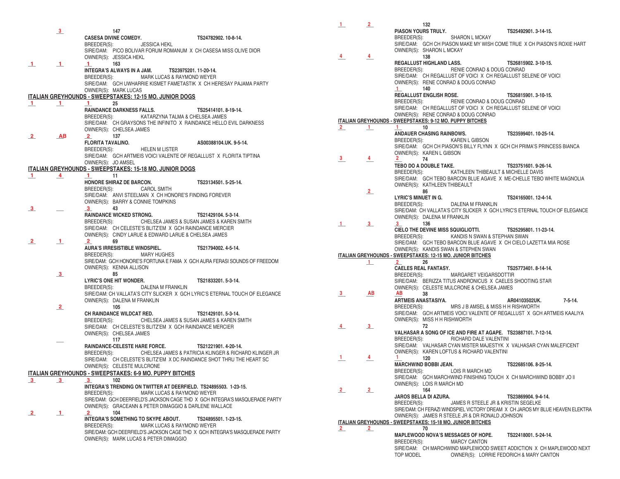|                         | $\frac{3}{2}$  | 147                                                                                                                                           |                                          | PIASON YOURS TRULY.                                                                                  | TS25492901.3-14-15.                     |
|-------------------------|----------------|-----------------------------------------------------------------------------------------------------------------------------------------------|------------------------------------------|------------------------------------------------------------------------------------------------------|-----------------------------------------|
|                         |                | <b>CASESA DIVINE COMEDY.</b><br>TS24782902. 10-8-14.                                                                                          |                                          | BREEDER(S):<br><b>SHARON L MCKAY</b>                                                                 |                                         |
|                         |                | BREEDER(S):<br><b>JESSICA HEKL</b>                                                                                                            |                                          | SIRE/DAM: GCH CH PIASON MAKE MY WISH COME TRUE X CH PIASON'S ROXIE HART                              |                                         |
|                         |                | SIRE/DAM: PICO BOLIVAR FORUM ROMANUM X CH CASESA MISS OLIVE DIOR                                                                              |                                          | OWNER(S): SHARON L MCKAY                                                                             |                                         |
|                         |                | OWNER(S): JESSICA HEKL                                                                                                                        | $\frac{4}{ }$                            | 138                                                                                                  |                                         |
| $\perp$                 | $\mathbf{1}$   | $1 \t 163$                                                                                                                                    |                                          | REGALLUST HIGHLAND LASS.<br>BREEDER(S): RENIE CONRAD & DOUG CONRAD                                   | TS26815902. 3-10-15.                    |
|                         |                | <b>INTEGRA'S ALWAYS IN A JAM.</b><br>TS23975201.11-20-14.                                                                                     |                                          | SIRE/DAM: CH REGALLUST OF VOICIX CH REGALLUST SELENE OF VOICI                                        |                                         |
|                         |                | MARK LUCAS & RAYMOND WEYER<br>BREEDER(S):                                                                                                     |                                          | OWNER(S): RENE CONRAD & DOUG CONRAD                                                                  |                                         |
|                         |                | SIRE/DAM: GCH UWHARRIE KISMET FAMETASTIK X CH HERESAY PAJAMA PARTY                                                                            |                                          | $1 \t 140$                                                                                           |                                         |
|                         |                | OWNER(S): MARK LUCAS                                                                                                                          |                                          | REGALLUST ENGLISH ROSE.                                                                              | TS26815901.3-10-15.                     |
|                         |                | <b>ITALIAN GREYHOUNDS - SWEEPSTAKES: 12-15 MO. JUNIOR DOGS</b><br>25<br>$\mathbf 1$                                                           |                                          | BREEDER(S): RENIE CONRAD & DOUG CONRAD                                                               |                                         |
| $\mathbf{1}$            | $\perp$        | RAINDANCE DARKNESS FALLS.<br>TS25414101, 8-19-14.                                                                                             |                                          | SIRE/DAM: CH REGALLUST OF VOICIX CH REGALLUST SELENE OF VOICI                                        |                                         |
|                         |                | BREEDER(S): KATARZYNA TALMA & CHELSEA JAMES                                                                                                   |                                          | OWNER(S): RENE CONRAD & DOUG CONRAD                                                                  |                                         |
|                         |                | SIRE/DAM: CH GRAYSONS THE INFINITO X RAINDANCE HELLO EVIL DARKNESS                                                                            |                                          | ITALIAN GREYHOUNDS - SWEEPSTAKES: 9-12 MO. PUPPY BITCHES                                             |                                         |
|                         |                | OWNER(S): CHELSEA JAMES                                                                                                                       | $\frac{2}{ }$<br>$\perp$                 | $1 \t 10$                                                                                            |                                         |
| $\mathbf{2}$            | AB             | $\overline{2}$ 137                                                                                                                            |                                          | <b>ANDAUER CHASING RAINBOWS.</b>                                                                     | TS23599401, 10-25-14.                   |
|                         |                | <b>FLORITA TAVALINO.</b><br>AS00388104.UK. 9-5-14.                                                                                            |                                          | BREEDER(S): KAREN L GIBSON                                                                           |                                         |
|                         |                | <b>HELEN M LISTER</b><br>BREEDER(S):                                                                                                          |                                          | SIRE/DAM: GCH CH PIASON'S BILLY FLYNN X GCH CH PRIMA'S PRINCESS BIANCA                               |                                         |
|                         |                | SIRE/DAM: GCH ARTMEIS VOICI VALENTE OF REGALLUST X FLORITA TIPTINA                                                                            | 3 <sup>7</sup>                           | OWNER(S): KAREN L GIBSON                                                                             |                                         |
|                         |                | OWNER(S): JO AMSEL                                                                                                                            | $\frac{4}{1}$                            | 74<br>2<br>TEBO DO A DOUBLE TAKE.                                                                    |                                         |
|                         |                | ITALIAN GREYHOUNDS - SWEEPSTAKES: 15-18 MO. JUNIOR DOGS                                                                                       |                                          | BREEDER(S): KATHLEEN THIBEAULT & MICHELLE DAVIS                                                      | TS23751601.9-26-14.                     |
| $\mathbf{1}$            | $\overline{4}$ | $1 \quad 11$                                                                                                                                  |                                          | SIRE/DAM: GCH TEBO BARCON BLUE AGAVE X ME-CHELLE TEBO WHITE MAGNOLIA                                 |                                         |
|                         |                | HONORE SHIRAZ DE BARCON.<br>TS23134501.5-25-14.                                                                                               |                                          | OWNER(S): KATHLEEN THIBEAULT                                                                         |                                         |
|                         |                | BREEDER(S): CAROL SMITH                                                                                                                       | 2                                        | 86                                                                                                   |                                         |
|                         |                | SIRE/DAM: ANVI STEELMAN X CH HONORE'S FINDING FOREVER                                                                                         |                                          | <b>LYRIC'S MINUET IN G.</b>                                                                          | TS24165001.12-4-14.                     |
|                         |                | OWNER(S): BARRY & CONNIE TOMPKINS                                                                                                             |                                          | BREEDER(S): DALENA M FRANKLIN                                                                        |                                         |
| $\overline{\mathbf{3}}$ |                | $3 \t 43$                                                                                                                                     |                                          | SIRE/DAM: CH VALLATA'S CITY SLICKER X GCH LYRIC'S ETERNAL TOUCH OF ELEGANCE                          |                                         |
|                         |                | <b>RAINDANCE WICKED STRONG.</b><br>TS21429104.5-3-14.                                                                                         |                                          | OWNER(S): DALENA M FRANKLIN                                                                          |                                         |
|                         |                | CHELSEA JAMES & SUSAN JAMES & KAREN SMITH<br>BREEDER(S):                                                                                      | $\perp$<br>$\mathbf{3}_{-}$              | $3 \t 136$                                                                                           |                                         |
|                         |                | SIRE/DAM: CH CELESTE'S BLITZ'EM X GCH RAINDANCE MERCIER<br>OWNER(S): CINDY LARUE & EDWARD LARUE & CHELSEA JAMES                               |                                          | CIELO THE DEVINE MISS SQUIGLIOTTI. TS25295801. 11-23-14.                                             |                                         |
| $\overline{\mathbf{2}}$ |                | 2 69                                                                                                                                          |                                          | BREEDER(S): KANDIS N SWAN & STEPHAN SWAN                                                             |                                         |
|                         | $\perp$        | <b>AURA'S IRRESISTIBLE WINDSPIEL.</b><br>TS21794002.4-5-14.                                                                                   |                                          | SIRE/DAM: GCH TEBO BARCON BLUE AGAVE X CH CIELO LAZETTA MIA ROSE                                     |                                         |
|                         |                | BREEDER(S): MARY HUGHES                                                                                                                       |                                          | OWNER(S): KANDIS SWAN & STEPHEN SWAN<br>ITALIAN GREYHOUNDS - SWEEPSTAKES: 12-15 MO. JUNIOR BITCHES   |                                         |
|                         |                | SIRE/DAM: GCH HONORE'S FORTUNA E FAMA X GCH AURA FERASI SOUNDS OF FREEDOM                                                                     |                                          | $2^{\sim}$<br>26                                                                                     |                                         |
|                         |                | OWNER(S): KENNA ALLISON                                                                                                                       | $\perp$                                  | <b>CAELES REAL FANTASY.</b>                                                                          | TS25773401.8-14-14.                     |
|                         | $\frac{3}{2}$  | 85                                                                                                                                            |                                          | BREEDER(S): MARGARET VEIGARSDOTTIR                                                                   |                                         |
|                         |                | <b>LYRIC'S ONE HIT WONDER.</b><br>TS21833201.5-3-14.                                                                                          |                                          | SIRE/DAM: BERIZZA TITUS ANDRONICUS X CAELES SHOOTING STAR                                            |                                         |
|                         |                | DALENA M FRANKLIN<br>BREEDER(S):                                                                                                              |                                          | OWNER(S): CELESTE MULCRONE & CHELSEA JAMES                                                           |                                         |
|                         |                | SIRE/DAM: CH VALLATA'S CITY SLICKER X GCH LYRIC'S ETERNAL TOUCH OF ELEGANCE                                                                   | $\frac{3}{2}$<br>AB                      | AB 38                                                                                                |                                         |
|                         |                | OWNER(S): DALENA M FRANKLIN                                                                                                                   |                                          | ARTMEIS ANASTASIYA.                                                                                  | $7 - 5 - 14.$<br>AR04103502UK.          |
|                         | $\overline{2}$ | 105                                                                                                                                           |                                          | BREEDER(S):<br>MRS J B AMSEL & MISS H H RISHWORTH                                                    |                                         |
|                         |                | CH RAINDANCE WILDCAT RED.<br>TS21429101.5-3-14.                                                                                               |                                          | SIRE/DAM: GCH ARTMEIS VOICI VALENTE OF REGALLUST X GCH ARTMEIS KAALIYA                               |                                         |
|                         |                | BREEDER(S): CHELSEA JAMES & SUSAN JAMES & KAREN SMITH                                                                                         |                                          | OWNER(S): MISS H H RISHWORTH                                                                         |                                         |
|                         |                | SIRE/DAM: CH CELESTE'S BLITZ'EM X GCH RAINDANCE MERCIER                                                                                       | $\frac{4}{ }$<br>$\overline{\mathbf{3}}$ | 72                                                                                                   |                                         |
|                         |                | OWNER(S): CHELSEA JAMES                                                                                                                       |                                          | VALHASAR A SONG OF ICE AND FIRE AT AGAPE. TS23887101. 7-12-14.<br>BREEDER(S): RICHARD DALE VALENTINI |                                         |
|                         |                | 117                                                                                                                                           |                                          | SIRE/DAM: VALHASAR CYAN MISTER MAJESTYK X VALHASAR CYAN MALEFICENT                                   |                                         |
|                         |                | RAINDANCE-CELESTE HARE FORCE.<br>TS21221901.4-20-14.                                                                                          |                                          | OWNER(S): KAREN LOFTUS & RICHARD VALENTINI                                                           |                                         |
|                         |                | CHELSEA JAMES & PATRICIA KLINGER & RICHARD KLINGER JR<br>BREEDER(S):<br>SIRE/DAM: CH CELESTE'S BLITZ'EM X DC RAINDANCE SHOT THRU THE HEART SC | $\frac{1}{ }$<br>$\frac{4}{ }$           | $1 -$<br>120                                                                                         |                                         |
|                         |                | OWNER(S): CELESTE MULCRONE                                                                                                                    |                                          | <b>MARCHWIND BOBBI JEAN.</b>                                                                         | TS22685106.8-25-14.                     |
|                         |                | <b>ITALIAN GREYHOUNDS - SWEEPSTAKES: 6-9 MO. PUPPY BITCHES</b>                                                                                |                                          | BREEDER(S):<br>LOIS R MARCH MD                                                                       |                                         |
|                         |                | 3 102                                                                                                                                         |                                          | SIRE/DAM: GCH MARCHWIND FINISHING TOUCH X CH MARCHWIND BOBBY JO II                                   |                                         |
|                         | $\mathbf{3}$   | INTEGRA'S TRENDING ON TWITTER AT DEERFIELD. TS24895503. 1-23-15.                                                                              |                                          | OWNER(S): LOIS R MARCH MD                                                                            |                                         |
|                         |                | BREEDER(S):<br>MARK LUCAS & RAYMOND WEYER                                                                                                     | $\overline{\mathbf{2}}$<br>$\frac{2}{2}$ | 164                                                                                                  |                                         |
|                         |                | SIRE/DAM: GCH DEERFIELD'S JACKSON CAGE THD X GCH INTEGRA'S MASQUERADE PARTY                                                                   |                                          | JAROS BELLA DI AZURA.                                                                                | TS23869904.9-4-14.                      |
|                         |                | OWNER(S): GRACEANN & PETER DIMAGGIO & DARLENE WALLACE                                                                                         |                                          | BREEDER(S):<br>JAMES R STEELE JR & KRISTIN SEGELKE                                                   |                                         |
| $\mathbf{2}$            | $\perp$        | 104<br>$\overline{2}$                                                                                                                         |                                          | SIRE/DAM: CH FERAZI WINDSPIEL VICTORY DREAM X CH JAROS MY BLUE HEAVEN ELEKTRA                        |                                         |
|                         |                | INTEGRA'S SOMETHING TO SKYPE ABOUT.<br>TS24895501.1-23-15.                                                                                    |                                          | OWNER(S): JAMES R STEELE JR & DR RONALD JOHNSON                                                      |                                         |
|                         |                | BREEDER(S):<br>MARK LUCAS & RAYMOND WEYER                                                                                                     |                                          | <b>ITALIAN GREYHOUNDS - SWEEPSTAKES: 15-18 MO. JUNIOR BITCHES</b>                                    |                                         |
|                         |                | SIRE/DAM: GCH DEERFIELD'S JACKSON CAGE THD X GCH INTEGRA'S MASQUERADE PARTY                                                                   | $\mathbf{2}$<br>$\frac{2}{2}$            | 70                                                                                                   |                                         |
|                         |                | OWNER(S): MARK LUCAS & PETER DIMAGGIO                                                                                                         |                                          | MAPLEWOOD NOVA'S MESSAGES OF HOPE.<br>BREEDER(S):<br><b>MARCY CANTON</b>                             | TS22418001.5-24-14.                     |
|                         |                |                                                                                                                                               |                                          | SIRE/DAM: CH MARCHWIND MAPLEWOOD SWEET ADDICTION X CH MAPLEWOOD NEXT                                 |                                         |
|                         |                |                                                                                                                                               |                                          | TOP MODEL                                                                                            | OWNER(S): LORRIE FEDORICH & MARY CANTON |
|                         |                |                                                                                                                                               |                                          |                                                                                                      |                                         |

| $\mathbf{1}$   | $\overline{2}$ | 132                             |                                                                               |                      |               |
|----------------|----------------|---------------------------------|-------------------------------------------------------------------------------|----------------------|---------------|
|                |                | PIASON YOURS TRULY.             |                                                                               | TS25492901.3-14-15.  |               |
|                |                |                                 | BREEDER(S): SHARON L MCKAY                                                    |                      |               |
|                |                |                                 | SIRE/DAM: GCH CH PIASON MAKE MY WISH COME TRUE X CH PIASON'S ROXIE HART       |                      |               |
|                |                | OWNER(S): SHARON L MCKAY        |                                                                               |                      |               |
| 4              | 4              | 138                             |                                                                               |                      |               |
|                |                |                                 |                                                                               |                      |               |
|                |                | <b>REGALLUST HIGHLAND LASS.</b> |                                                                               | TS26815902, 3-10-15. |               |
|                |                | BREEDER(S):                     | RENIE CONRAD & DOUG CONRAD                                                    |                      |               |
|                |                |                                 | SIRE/DAM: CH REGALLUST OF VOICIX CH REGALLUST SELENE OF VOICI                 |                      |               |
|                |                |                                 | OWNER(S): RENE CONRAD & DOUG CONRAD                                           |                      |               |
|                |                | 140<br>$\mathbf{1}$             |                                                                               |                      |               |
|                |                | <b>REGALLUST ENGLISH ROSE.</b>  |                                                                               | TS26815901.3-10-15.  |               |
|                |                |                                 | BREEDER(S): RENIE CONRAD & DOUG CONRAD                                        |                      |               |
|                |                |                                 | SIRE/DAM: CH REGALLUST OF VOICIX CH REGALLUST SELENE OF VOICI                 |                      |               |
|                |                |                                 | OWNER(S): RENE CONRAD & DOUG CONRAD                                           |                      |               |
|                |                |                                 | <u> ITALIAN GREYHOUNDS - SWEEPSTAKES: 9-12 MO. PUPPY BITCHES</u>              |                      |               |
| $\overline{2}$ | $\mathbf{1}$   | $1 \t 10$                       |                                                                               |                      |               |
|                |                |                                 |                                                                               |                      |               |
|                |                | ANDAUER CHASING RAINBOWS.       |                                                                               | TS23599401.10-25-14. |               |
|                |                | BREEDER(S):                     | <b>KAREN L GIBSON</b>                                                         |                      |               |
|                |                |                                 | SIRE/DAM: GCH CH PIASON'S BILLY FLYNN X GCH CH PRIMA'S PRINCESS BIANCA        |                      |               |
|                |                | OWNER(S): KAREN L GIBSON        |                                                                               |                      |               |
| 3              | 4              | $\mathbf{2}$<br>74              |                                                                               |                      |               |
|                |                | TEBO DO A DOUBLE TAKE.          |                                                                               | TS23751601.9-26-14.  |               |
|                |                |                                 | BREEDER(S): KATHLEEN THIBEAULT & MICHELLE DAVIS                               |                      |               |
|                |                |                                 | SIRE/DAM: GCH TEBO BARCON BLUE AGAVE X ME-CHELLE TEBO WHITE MAGNOLIA          |                      |               |
|                |                | OWNER(S): KATHLEEN THIBEAULT    |                                                                               |                      |               |
|                | $\overline{2}$ | 86                              |                                                                               |                      |               |
|                |                | <b>LYRIC'S MINUET IN G.</b>     |                                                                               | TS24165001.12-4-14.  |               |
|                |                | BREEDER(S):                     | DALENA M FRANKLIN                                                             |                      |               |
|                |                |                                 | SIRE/DAM: CH VALLATA'S CITY SLICKER X GCH LYRIC'S ETERNAL TOUCH OF ELEGANCE   |                      |               |
|                |                | OWNER(S): DALENA M FRANKLIN     |                                                                               |                      |               |
|                |                | 136                             |                                                                               |                      |               |
| $\perp$        | $3_{-}$        | $3_{-}$                         |                                                                               |                      |               |
|                |                |                                 | <b>CIELO THE DEVINE MISS SQUIGLIOTTI.</b>                                     | TS25295801.11-23-14. |               |
|                |                | BREEDER(S):                     | KANDIS N SWAN & STEPHAN SWAN                                                  |                      |               |
|                |                |                                 | SIRE/DAM: GCH TEBO BARCON BLUE AGAVE X CH CIELO LAZETTA MIA ROSE              |                      |               |
|                |                |                                 | OWNER(S): KANDIS SWAN & STEPHEN SWAN                                          |                      |               |
|                |                |                                 | ITALIAN GREYHOUNDS - SWEEPSTAKES: 12-15 MO. JUNIOR BITCHES                    |                      |               |
|                | $\perp$        | - 26<br>2                       |                                                                               |                      |               |
|                |                | <b>CAELES REAL FANTASY.</b>     |                                                                               | TS25773401, 8-14-14. |               |
|                |                |                                 | BREEDER(S): MARGARET VEIGARSDOTTIR                                            |                      |               |
|                |                |                                 | SIRE/DAM: BERIZZA TITUS ANDRONICUS X CAELES SHOOTING STAR                     |                      |               |
|                |                |                                 | OWNER(S): CELESTE MULCRONE & CHELSEA JAMES                                    |                      |               |
| 3              | AВ             | AВ<br>38                        |                                                                               |                      |               |
|                |                | ARTMEIS ANASTASIYA.             |                                                                               | AR04103502UK.        | $7 - 5 - 14.$ |
|                |                | BREEDER(S):                     | MRS J B AMSEL & MISS H H RISHWORTH                                            |                      |               |
|                |                |                                 | SIRE/DAM: GCH ARTMEIS VOICI VALENTE OF REGALLUST X GCH ARTMEIS KAALIYA        |                      |               |
|                |                | OWNER(S): MISS H H RISHWORTH    |                                                                               |                      |               |
| 4              | 3              | 72                              |                                                                               |                      |               |
|                |                |                                 | VALHASAR A SONG OF ICE AND FIRE AT AGAPE. TS23887101.7-12-14.                 |                      |               |
|                |                |                                 |                                                                               |                      |               |
|                |                | BREEDER(S):                     | RICHARD DALE VALENTINI                                                        |                      |               |
|                |                |                                 | SIRE/DAM: VALHASAR CYAN MISTER MAJESTYK X VALHASAR CYAN MALEFICENT            |                      |               |
|                |                |                                 | OWNER(S): KAREN LOFTUS & RICHARD VALENTINI                                    |                      |               |
| 1.             | 4              | 1.<br>120                       |                                                                               |                      |               |
|                |                | <b>MARCHWIND BOBBI JEAN.</b>    |                                                                               | TS22685106, 8-25-14. |               |
|                |                | BREEDER(S):                     | LOIS R MARCH MD                                                               |                      |               |
|                |                |                                 | SIRE/DAM: GCH MARCHWIND FINISHING TOUCH X CH MARCHWIND BOBBY JO II            |                      |               |
|                |                | OWNER(S): LOIS R MARCH MD       |                                                                               |                      |               |
| $\overline{2}$ | $\overline{2}$ | 164                             |                                                                               |                      |               |
|                |                | JAROS BELLA DI AZURA.           |                                                                               | TS23869904.9-4-14.   |               |
|                |                | BREEDER(S):                     | JAMES R STEELE JR & KRISTIN SEGELKE                                           |                      |               |
|                |                |                                 | SIRE/DAM: CH FERAZI WINDSPIEL VICTORY DREAM X CH JAROS MY BLUE HEAVEN ELEKTRA |                      |               |
|                |                |                                 | OWNER(S): JAMES R STEELE JR & DR RONALD JOHNSON                               |                      |               |
|                |                |                                 | <u> ITALIAN GREYHOUNDS - SWEEPSTAKES: 15-18 MO. JUNIOR BITCHES</u>            |                      |               |
| $\mathbf{z}$   | $\mathbf{2}$   | 70                              |                                                                               |                      |               |
|                |                |                                 | <b>MAPLEWOOD NOVA'S MESSAGES OF HOPE.</b>                                     | TS22418001.5-24-14.  |               |
|                |                | BREEDER(S):                     | <b>MARCY CANTON</b>                                                           |                      |               |
|                |                |                                 |                                                                               |                      |               |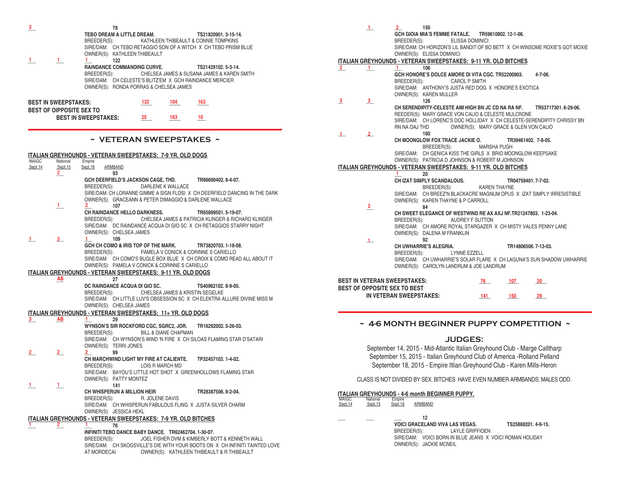| $\frac{3}{2}$                           | 78<br>TEBO DREAM A LITTLE DREAM.<br>TS21820901.3-15-14.<br>BREEDER(S):<br>KATHLEEN THIBEAULT & CONNIE TOMPKINS<br>SIRE/DAM: CH TEBO RETAGGIO SON OF A WITCH X CH TEBO PRISM BLUE<br>OWNER(S): KATHLEEN THIBEAULT                                                       | $\mathbf{1}$<br>150<br>$\overline{2}$<br>GCH GIOIA MIA'S FEMME FATALE. TR59610802.12-1-06.<br>BREEDER(S):<br><b>ELISSA DOMINICI</b><br>SIRE/DAM: CH HORIZON'S LIL BANDIT OF BO BETT X CH WINSOME ROXIE'S GOT MOXIE<br>OWNER(S): ELISSA DOMINICI                     |
|-----------------------------------------|------------------------------------------------------------------------------------------------------------------------------------------------------------------------------------------------------------------------------------------------------------------------|---------------------------------------------------------------------------------------------------------------------------------------------------------------------------------------------------------------------------------------------------------------------|
| $\perp$<br>$\mathbf{1}$                 | 122                                                                                                                                                                                                                                                                    | ITALIAN GREYHOUNDS - VETERAN SWEEPSTAKES: 9-11 YR. OLD BITCHES                                                                                                                                                                                                      |
|                                         | <b>RAINDANCE COMMANDING CURVE.</b><br>TS21429102.5-3-14.<br>CHELSEA JAMES & SUSANA JAMES & KAREN SMITH<br>BREEDER(S):<br>SIRE/DAM: CH CELESTE'S BLITZ'EM X GCH RAINDANCE MERCIER<br>OWNER(S): RONDA PORRAS & CHELSEA JAMES                                             | $2^{\circ}$<br>106<br>$\mathbf{1}$<br>GCH HONORE'S DOLCE AMORE DI VITA CGC. TR52200903.<br>4-7-06.<br>BREEDER(S):<br><b>CAROL P SMITH</b><br>SIRE/DAM: ANTHONY'S JUSTA RED DOG X HONORE'S EXOTICA<br>OWNER(S): KAREN MULLER                                         |
| <b>BEST IN SWEEPSTAKES:</b>             | 104<br>163<br>132                                                                                                                                                                                                                                                      | $\overline{\mathbf{3}}$<br>126<br>$\overline{\mathbf{3}}$                                                                                                                                                                                                           |
| BEST OF OIPPOSITE SEX TO                | <b>BEST IN SWEEPSTAKES:</b><br>25<br>10<br>163                                                                                                                                                                                                                         | CH SERENDIPITY-CELESTE AIM HIGH BN JC CD NA RA NF.<br>TR53717301.6-29-06.<br>REEDER(S): MARY GRACE VON CALIO & CELESTE MULCRONE<br>SIRE/DAM: CH LORENC'S DOC HOLLIDAY X CH CELESTE-SERENDIPITY CHRISSY BN<br>RN NA OAJ THD<br>OWNER(S): MARY GRACE & GLEN VON CALIO |
|                                         | ~ VETERAN SWEEPSTAKES ~                                                                                                                                                                                                                                                | 160<br>$\perp$<br>2<br>CH MOONGLOW FOX TRACE JACKIE O.<br>TR39461402. 7-8-05.<br>BREEDER(S):<br><b>MARSHA PUGH</b>                                                                                                                                                  |
|                                         | ITALIAN GREYHOUNDS - VETERAN SWEEPSTAKES: 7-9 YR. OLD DOGS                                                                                                                                                                                                             | SIRE/DAM: CH GENICA KISS THE GIRLS X BRIO MOONGLOW KEEPSAKE<br>OWNER(S): PATRICIA D JOHNSON & ROBERT M JOHNSON                                                                                                                                                      |
| MAIGC<br>National<br>Sept.14<br>Sept.15 | Empire<br>Sept. 18<br>ARMBAND                                                                                                                                                                                                                                          | ITALIAN GREYHOUNDS - VETERAN SWEEPSTAKES: 9-11 YR. OLD BITCHES                                                                                                                                                                                                      |
| $\overline{2}$                          | 93<br>GCH DEERFIELD'S JACKSON CAGE, THD.<br>TR66690402.8-4-07.<br>DARLENE K WALLACE<br>BREEDER(S):<br>SIRE/DAM: CH LORANNE GIMME A SIGN FLOSI X CH DEERFIELD DANCING IN THE DARK<br>OWNER(S): GRACEANN & PETER DIMAGGIO & DARLENE WALLACE                              | 20<br>CH IZAT SIMPLY SCANDALOUS.<br>TR04759401.7-7-02.<br>BREEDER(S):<br><b>KAREN THAYNE</b><br>SIRE/DAM: CH BREEZ'N BLACKACRE MAGNUM OPUS X IZAT SIMPLY IRRESISTIBLE<br>OWNER(S): KAREN THAYNE & P CARROLL                                                         |
| $\perp$                                 | 107<br>CH RAINDANCE HELLO DARKNESS.<br>TR65899501.5-19-07.<br>CHELSEA JAMES & PATRICIA KLINGER & RICHARD KLINGER<br>BREEDER(S):<br>SIRE/DAM: DC RAINDANCE ACQUA DI GIO SC X CH RETAGGIOS STARRY NIGHT<br>OWNER(S): CHELSEA JAMES                                       | $\mathbf{2}$<br>84<br>CH SWEET ELEGANCE OF WESTWIND RE AX AXJ NF.TR21247803. 1-23-04.<br>BREEDER(S):<br>AUDREY F SUTTON<br>SIRE/DAM: CH AMORE ROYAL STARGAZER X CH MISTY VALES PENNY LANE<br>OWNER(S): DALENA M FRANKLIN                                            |
| $\perp$<br>$\frac{3}{2}$                | 109<br>1<br>GCH CH COMO & IRIS TOP OF THE MARK.<br>TR73820703.1-18-08.<br>PAMELA V CONICK & CORINNE S CARIELLO<br>BREEDER(S):<br>SIRE/DAM: CH COMO'S BUGLE BOX BLUE X CH CROIX & COMO READ ALL ABOUT IT<br>OWNER(S): PAMELA V CONICK & CORINNE S CARIELLO              | 92<br>$\perp$<br>CH UWHARRIE'S ALEGRIA.<br>TR14806506.7-13-03.<br>BREEDER(S):<br><b>LYNNE EZZELL</b><br>SIRE/DAM: CH UWHARRIE'S SOLAR FLARE X CH LAGUNA'S SUN SHADOW UWHARRIE<br>OWNER(S): CAROLYN LANDRUM & JOE LANDRUM                                            |
|                                         | ITALIAN GREYHOUNDS - VETERAN SWEEPSTAKES: 9-11 YR. OLD DOGS                                                                                                                                                                                                            |                                                                                                                                                                                                                                                                     |
| AB                                      | 27<br>DC RAINDANCE ACQUA DI GIO SC.<br>TS40962102, 8-9-05.<br>BREEDER(S):<br>CHELSEA JAMES & KRISTIN SEGELKE<br>SIRE/DAM: CH LITTLE LUV'S OBSESSION SC X CH ELEKTRA ALLURE DIVINE MISS M<br>OWNER(S): CHELSEA JAMES                                                    | <b>BEST IN VETERAN SWEEPSTAKES:</b><br>107<br>20<br>76<br>BEST OF OPPOSITE SEX TO BEST<br>IN VETERAN SWEEPSTAKES:<br>141<br>29<br>150                                                                                                                               |
|                                         | ITALIAN GREYHOUNDS - VETERAN SWEEPSTAKES: 11+ YR. OLD DOGS                                                                                                                                                                                                             |                                                                                                                                                                                                                                                                     |
| 3 <sup>1</sup><br>AB                    | $1 \quad$<br>29<br>WYNSON'S SIR ROCKFORD CGC, SGRC2, JOR.<br>TR16292002.5-26-03.<br>BREEDER(S):<br><b>BILL &amp; DIANE CHAPMAN</b>                                                                                                                                     | ~ 4-6 MONTH BEGINNER PUPPY COMPETITION ~                                                                                                                                                                                                                            |
|                                         | SIRE/DAM: CH WYNSON'S WIND 'N FIRE X CH SILOAS FLAMING STAR D'SATARI<br>OWNER(S): TERRI JONES                                                                                                                                                                          | <b>JUDGES:</b>                                                                                                                                                                                                                                                      |
| $\overline{2}$<br>$\overline{2}$        | 99<br>CH MARCHWIND LIGHT MY FIRE AT CALIENTE.<br>TP32457103.1-4-02.<br>BREEDER(S):<br>LOIS R MARCH MD<br>SIRE/DAM: BAYOU'S LITTLE HOT SHOT X GREENHOLLOWS FLAMING STAR                                                                                                 | September 14, 2015 - Mid-Atlantic Italian Greyhound Club - Marge Calltharp<br>September 15, 2015 - Italian Greyhound Club of America - Rolland Pelland<br>September 18, 2015 - Empire Itlian Greyhound Club - Karen Mills-Heron                                     |
|                                         | OWNER(S): PATTY MONTEZ                                                                                                                                                                                                                                                 | CLASS IS NOT DIVIDED BY SEX. BITCHES HAVE EVEN NUMBER ARMBANDS; MALES ODD.                                                                                                                                                                                          |
|                                         | 141<br>CH WHISPERUN A MILLION HEIR<br>TR28387506.8-2-04.<br>BREEDER(S):<br>R. JOLENE DAVIS<br>SIRE/DAM: CH WHISPERUN FABULOUS FLING X JUSTA SILVER CHARM<br>OWNER(S): JESSICA HEKL                                                                                     | <b>ITALIAN GREYHOUNDS - 4-6 month BEGINNER PUPPY.</b><br>MAIGC<br>National<br>Empire<br>Sept.15<br>Sept. 18<br><b>ARMBAND</b><br>Sept.14                                                                                                                            |
|                                         | ITALIAN GREYHOUNDS - VETERAN SWEEPSTAKES: 7-9 YR. OLD BITCHES                                                                                                                                                                                                          | 12                                                                                                                                                                                                                                                                  |
|                                         | 76<br>INFINITI TEBO DANCE BABY DANCE. TR62462704.1-30-07.<br>BREEDER(S):<br>JOEL FISHER DVM & KIMBERLY BOTT & KENNETH WALL<br>SIRE/DAM: CH SKOGSVILLE'S DIE WITH YOUR BOOTS ON X CH INFINITI TAINTED LOVE<br>AT MORDECAI<br>OWNER(S): KATHLEEN THIBEAULT & R THIBEAULT | <b>VOICI GRACELAND VIVA LAS VEGAS.</b><br>TS25888201.4-6-15.<br>BREEDER(S):<br><b>LAYLE GRIFFIOEN</b><br>SIRE/DAM: VOICI BORN IN BLUE JEANS X VOICI ROMAN HOLIDAY<br>OWNER(S): JACKIE MCNEIL                                                                        |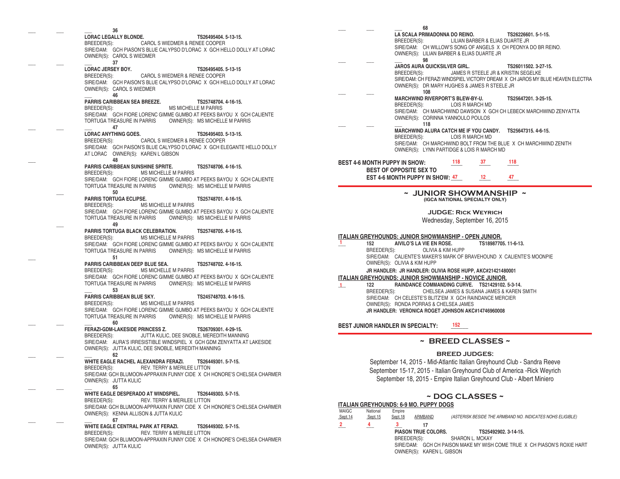**\_\_\_ \_\_\_ \_\_\_ 36 LORAC LEGALLY BLONDE. TS26495404. 5-13-15.** CAROL S WIEDMER & RENEE COOPER SIRE/DAM: GCH PIASON'S BLUE CALYPSO D'LORAC X GCH HELLO DOLLY AT LORAC OWNER(S): CAROL S WIEDMER **\_\_\_ \_\_\_ \_\_\_ 37 LORAC JERSEY BOY. TS26495405. 5-13-15** BREEDER(S): CAROL S WIEDMER & RENEE COOPER SIRE/DAM: GCH PAISON'S BLUE CALYPSO D'LORAC X GCH HELLO DOLLY AT LORAC OWNER(S): CAROL S WIEDMER  **\_\_\_ 46 PARRIS CARIBBEAN SEA BREEZE. TS25748704. 4-16-15.** BREEDER(S): MS MICHELLE M PARRIS SIRE/DAM: GCH FIORE LORENC GIMME GUMBO AT PEEKS BAYOU X GCH CALIENTE TORTUGA TREASURE IN PARRIS OWNER(S): MS MICHELLE M PARRIS **\_\_\_ \_\_\_ \_\_\_ 47 LORAC ANYTHING GOES. TS26495403. 5-13-15.** CAROL S WIEDMER & RENEE COOPER SIRE/DAM: GCH PAISON'S BLUE CALYPSO D'LORAC X GCH ELEGANTE HELLO DOLLY AT LORAC OWNER(S): KAREN L GIBSON **\_\_\_ 48 PARRIS CARIBBEAN SUNSHINE SPRITE. TS25748706. 4-16-15.** MS MICHELLE M PARRIS SIRE/DAM: GCH FIORE LORENC GIMME GUMBO AT PEEKS BAYOU X GCH CALIENTE TORTUGA TREASURE IN PARRIS OWNER(S): MS MICHELLE M PARRIS **\_\_\_ 50 PARRIS TORTUGA ECLIPSE.** TS25748701. 4-16-15.<br>BREEDER(S): MS MICHELLE M PARRIS MS MICHELLE M PARRIS SIRE/DAM: GCH FIORE LORENC GIMME GUMBO AT PEEKS BAYOU X GCH CALIENTE TORTUGA TREASURE IN PARRIS OWNER(S): MS MICHELLE M PARRIS **\_\_\_ 49 PARRIS TORTUGA BLACK CELEBRATION. TS25748705. 4-16-15.** BREEDER(S): MS MICHELLE M PARRIS SIRE/DAM: GCH FIORE LORENC GIMME GUMBO AT PEEKS BAYOU X GCH CALIENTE TORTUGA TREASURE IN PARRIS OWNER(S): MS MICHELLE M PARRIS **\_\_\_ 51 PARRIS CARIBBEAN DEEP BLUE SEA. TS25748702. 4-16-15.**<br>BREEDER(S): MS MICHELLE M PARRIS MS MICHELLE M PARRIS SIRE/DAM: GCH FIORE LORENC GIMME GUMBO AT PEEKS BAYOU X GCH CALIENTE TORTUGA TREASURE IN PARRIS OWNER(S): MS MICHELLE M PARRIS **\_\_\_ 53 PARRIS CARIBBEAN BLUE SKY. TS245748703. 4-16-15.** BREEDER(S): MS MICHELLE M PARRIS SIRE/DAM: GCH FIORE LORENC GIMME GUMBO AT PEEKS BAYOU X GCH CALIENTE TORTUGA TREASURE IN PARRIS OWNER(S): MS MICHELLE M PARRIS **\_\_\_ \_\_\_ \_\_\_ 60 FERAZI-GDM-LAKESIDE PRINCESS Z. TS26709301. 4-29-15.** JUTTA KULIC, DEE SNOBLE, MEREDITH MANNING SIRE/DAM: AURA'S IRRESISTIBLE WINDSPIEL X GCH GDM ZENYATTA AT LAKESIDE OWNER(S): JUTTA KULIC, DEE SNOBLE, MEREDITH MANNING **\_\_\_ \_\_\_ \_\_\_ 62 WHITE EAGLE RACHEL ALEXANDRA FERAZI. TS26449301. 5-7-15.** BEV. TERRY & MERILEE LITTON SIRE/DAM: GCH BLUMOON-APPRAXIN FUNNY CIDE X CH HONORE'S CHELSEA CHARMER OWNER(S): JUTTA KULIC<br>65 **\_\_\_ \_\_\_ \_\_\_ 65 WHITE EAGLE DESPERADO AT WINDSPIEL. TS26449303. 5-7-15.** BREEDER(S): REV. TERRY & MERILEE LITTON SIRE/DAM: GCH BLUMOON-APPRAXIN FUNNY CIDE X CH HONORE'S CHELSEA CHARMER OWNER(S): KENNA ALLISON & JUTTA KULIC **\_\_\_ \_\_\_ \_\_\_ 67 WHITE EAGLE CENTRAL PARK AT FERAZI. TS26449302. 5-7-15.** BREEDER(S): REV. TERRY & MERILEE LITTON SIRE/DAM: GCH BLUMOON-APPRAXIN FUNNY CIDE X CH HONORE'S CHELSEA CHARMER

OWNER(S): JUTTA KULIC

**\_\_\_ \_\_\_ \_\_\_ 68 LA SCALA PRIMADONNA DO REINO. TS26226601. 5-1-15.** LILIAN BARBER & ELIAS DUARTE JR SIRE/DAM: CH WILLOW'S SONG OF ANGELS X CH PEONYA DO BR REINO. OWNER(S): LILIAN BARBER & ELIAS DUARTE JR **\_\_\_ \_\_\_ \_\_\_ 98 JAROS AURA QUICKSILVER GIRL. TS26011502. 3-27-15.**<br>BREEDER(S): JAMES R STEELE JR & KRISTIN SEGELKE JAMES R STEELE JR & KRISTIN SEGELKE SIRE/DAM: CH FERAZI WINDSPIEL VICTORY DREAM X CH JAROS MY BLUE HEAVEN ELECTRA OWNER(S): DR MARY HUGHES & JAMES R STEELE JR **\_\_\_ \_\_\_ 108 MARCHWIND RIVERPORT'S BLEW-BY-U. TS25647201. 3-25-15.** BREEDER(S): LOIS R MARCH MD SIRE/DAM: CH MARCHWIND DAWSON X GCH CH LEBECK MARCHWIND ZENYATTA OWNER(S): CORINNA YANNOULO POULOS **\_\_\_ \_\_\_ \_\_\_ 118 MARCHWIND ALURA CATCH ME IF YOU CANDY. TS25647315. 4-6-15.** LOIS R MARCH MD SIRE/DAM: CH MARCHWIND BOLT FROM THE BLUE X CH MARCHWIND ZENITH OWNER(S): LYNN PARTIDGE & LOIS R MARCH MD **BEST 4-6 MONTH PUPPY IN SHOW: \_\_\_\_ \_\_\_\_ \_\_\_\_ 118 37 118 BEST OF OPPOSITE SEX TO EST 4-6 MONTH PUPPY IN SHOW: \_\_\_\_ \_\_\_\_ \_\_\_\_ 47 12 47 ~ JUNIOR SHOWMANSHIP ~ (IGCA NATIONAL SPECIALTY ONLY)**

> **JUDGE: Rick Weyrich** Wednesday, September 16, 2015

# **ITALIAN GREYHOUNDS: JUNIOR SHOWMANSHIP - OPEN JUNIOR.**

**152 AIVILO'S LA VIE EN ROSE.**<br>**BREEDER(S): OLIVIA & KIM H** OLIVIA & KIM HUPP SIRE/DAM: CALIENTE'S MAKER'S MARK OF BRAVEHOUND X CALIENTE'S MOONPIE OWNER(S): OLIVIA & KIM HUPP

**JR HANDLER: JR HANDLER: OLIVIA ROSE HUPP, AKC#21421480001**

**ITALIAN GREYHOUNDS: JUNIOR SHOWMANSHIP - NOVICE JUNIOR. \_\_\_ 122 RAINDANCE COMMANDING CURVE. TS21429102. 5-3-14.** CHELSEA JAMES & SUSANA JAMES & KAREN SMITH SIRE/DAM: CH CELESTE'S BLITZ'EM X GCH RAINDANCE MERCIER OWNER(S): RONDA PORRAS & CHELSEA JAMES **JR HANDLER: VERONICA ROGET JOHNSON AKC#14746960008 1**

**BEST JUNIOR HANDLER IN SPECIALTY: \_\_\_\_\_\_ 152**

**1**

#### **~ BREED CLASSES ~**

#### **BREED JUDGES:**

September 14, 2015 - Mid-Atlantic Italian Greyhound Club - Sandra Reeve September 15-17, 2015 - Italian Greyhound Club of America -Rick Weyrich September 18, 2015 - Empire Italian Greyhound Club - Albert Miniero

#### **~ DOG CLASSES ~ ITALIAN GREYHOUNDS: 6-9 MO. PUPPY DOGS**

|                |          |             | IIALIAN GRETHOUNDS. 0-9 MU. PUPPT DOGS |                                                                         |
|----------------|----------|-------------|----------------------------------------|-------------------------------------------------------------------------|
| MAIGC          | National | Empire      |                                        |                                                                         |
| Sept.14        | Sept.15  | Sept.18     | ARMBAND                                | (ASTERISK BESIDE THE ARMBAND NO. INDICATES NOHS ELIGIBLE)               |
| $\overline{2}$ | 4        |             |                                        |                                                                         |
|                |          |             | <b>PIASON TRUE COLORS.</b>             | TS25492902.3-14-15.                                                     |
|                |          | BREEDER(S): |                                        | <b>SHARON L. MCKAY</b>                                                  |
|                |          |             |                                        | SIRE/DAM: GCH CH PAISON MAKE MY WISH COME TRUE X CH PIASON'S ROXIE HART |
|                |          |             | OWNER(S): KAREN L. GIBSON              |                                                                         |
|                |          |             |                                        |                                                                         |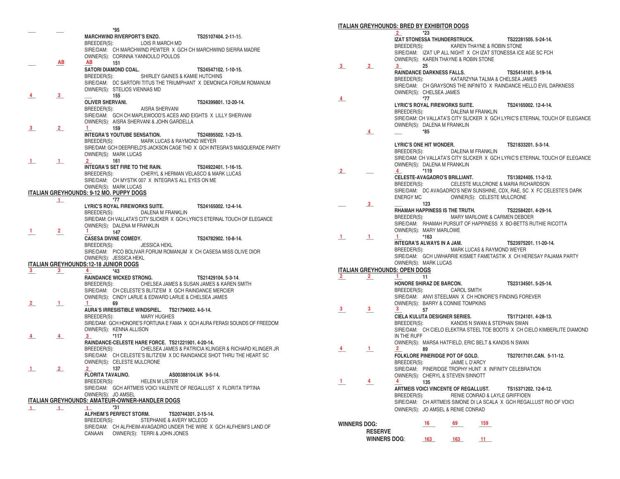|                         |                | *95                                                                                                            |
|-------------------------|----------------|----------------------------------------------------------------------------------------------------------------|
|                         |                | <b>MARCHWIND RIVERPORT'S ENZO.</b><br>TS25107404.2-11-15.                                                      |
|                         |                | BREEDER(S): LOIS R MARCH MD                                                                                    |
|                         |                | SIRE/DAM: CH MARCHWIND PEWTER X GCH CH MARCHWIND SIERRA MADRE                                                  |
|                         |                | OWNER(S): CORINNA YANNOULO POULOS                                                                              |
|                         | AB             | AВ<br>151                                                                                                      |
|                         |                | SATORI DIAMOND COAL.<br>TS24547102. 1-10-15.                                                                   |
|                         |                | BREEDER(S):<br>SHIRLEY GAINES & KAMIE HUTCHINS                                                                 |
|                         |                | SIRE/DAM: DC SARTORI TITUS THE TRIUMPHANT X DEMONICA FORUM ROMANUM                                             |
| 4                       | 3              | OWNER(S): STELIOS VIENNAS MD                                                                                   |
|                         |                | 155<br><b>OLIVER SHERVANI.</b><br>TS24399801, 12-20-14.                                                        |
|                         |                | BREEDER(S):<br>AISRA SHERVANI                                                                                  |
|                         |                | SIRE/DAM: GCH CH MAPLEWOOD'S ACES AND EIGHTS X LILLY SHERVANI                                                  |
|                         |                | OWNER(S): AISRA SHERVANI & JOHN GARDELLA                                                                       |
| $\overline{\mathbf{3}}$ | $\overline{2}$ | 1<br>159                                                                                                       |
|                         |                | <b>INTEGRA'S YOUTUBE SENSATION.</b><br>TS24895502, 1-23-15.                                                    |
|                         |                | MARK LUCAS & RAYMOND WEYER<br>BREEDER(S):                                                                      |
|                         |                | SIRE/DAM: GCH DEERFIELD'S JACKSON CAGE THD X GCH INTEGRA'S MASQUERADE PARTY                                    |
|                         |                | OWNER(S): MARK LUCAS<br>161                                                                                    |
| $\perp$                 | $\perp$        | 2<br>INTEGRA'S SET FIRE TO THE RAIN.<br>TS24922401.1-16-15.                                                    |
|                         |                | BREEDER(S): CHERYL & HERMAN VELASCO & MARK LUCAS                                                               |
|                         |                | SIRE/DAM: CH MYSTIK 007 X INTEGRA'S ALL EYES ON ME                                                             |
|                         |                | OWNER(S): MARK LUCAS                                                                                           |
|                         |                | <b>ITALIAN GREYHOUNDS: 9-12 MO. PUPPY DOGS</b>                                                                 |
|                         | $\perp$        | *77                                                                                                            |
|                         |                | LYRIC'S ROYAL FIREWORKS SUITE.<br>TS24165002, 12-4-14.<br>DALENA M FRANKLIN                                    |
|                         |                | BREEDER(S):<br>SIRE/DAM: CH VALLATA'S CITY SLICKER X GCH LYRIC'S ETERNAL TOUCH OF ELEGANCE                     |
|                         |                | OWNER(S): DALENA M FRANKLIN                                                                                    |
| $\mathbf{1}$            | $\overline{2}$ | $\mathbf{1}$<br>147                                                                                            |
|                         |                | <b>CASESA DIVINE COMEDY.</b><br>TS24782902, 10-8-14.                                                           |
|                         |                | BREEDER(S):<br><b>JESSICA HEKL</b>                                                                             |
|                         |                | SIRE/DAM: PICO BOLIVAR FORUM ROMANUM X CH CASESA MISS OLIVE DIOR                                               |
|                         |                | OWNER(S): JESSICA HEKL<br><b>ITALIAN GREYHOUNDS: 12-18 JUNIOR DOGS</b>                                         |
| $\frac{3}{2}$           | $\frac{3}{2}$  | 4<br>$*43$                                                                                                     |
|                         |                | <b>RAINDANCE WICKED STRONG.</b><br>TS21429104.5-3-14.                                                          |
|                         |                | CHELSEA JAMES & SUSAN JAMES & KAREN SMITH<br>BREEDER(S):                                                       |
|                         |                | SIRE/DAM: CH CELESTE'S BLITZ'EM X GCH RAINDANCE MERCIER                                                        |
|                         |                | OWNER(S): CINDY LARUE & EDWARD LARUE & CHELSEA JAMES                                                           |
| $\mathbf{2}$            | $\mathbf{1}$   | $\mathbf{1}$<br>69                                                                                             |
|                         |                | AURA'S IRRESISTIBLE WINDSPIEL. TS21794002.4-5-14.                                                              |
|                         |                | <b>MARY HUGHES</b><br>BREEDER(S):<br>SIRE/DAM: GCH HONORE'S FORTUNA E FAMA X GCH AURA FERASI SOUNDS OF FREEDOM |
|                         |                | OWNER(S): KENNA ALLISON                                                                                        |
| 4                       | $\frac{4}{ }$  | $3^{\circ}$<br>*117                                                                                            |
|                         |                | RAINDANCE-CELESTE HARE FORCE. TS21221901. 4-20-14.                                                             |
|                         |                | CHELSEA JAMES & PATRICIA KLINGER & RICHARD KLINGER JR<br>BREEDER(S):                                           |
|                         |                | SIRE/DAM: CH CELESTE'S BLITZ'EM X DC RAINDANCE SHOT THRU THE HEART SC                                          |
|                         |                | OWNER(S): CELESTE MULCRONE                                                                                     |
| $\perp$                 | $\overline{2}$ | 137<br>2<br>AS00388104.UK 9-5-14.                                                                              |
|                         |                | FLORITA TAVALINO.<br>BREEDER(S):<br><b>HELEN M LISTER</b>                                                      |
|                         |                | SIRE/DAM: GCH ARTMEIS VOICI VALENTE OF REGALLUST X FLORITA TIPTINA                                             |
|                         |                | OWNER(S): JO AMSEL                                                                                             |
|                         |                | <b>ITALIAN GREYHOUNDS: AMATEUR-OWNER-HANDLER DOGS</b>                                                          |
| $\perp$                 | $\perp$        | *31<br>$\perp$                                                                                                 |
|                         |                | <b>ALFHEIM'S PERFECT STORM.</b><br>TS20744301, 2-15-14.                                                        |
|                         |                | STEPHANIE & AVERY MCLEOD<br>BREEDER(S):                                                                        |
|                         |                | SIRE/DAM: CH ALFHEIM-AVAGADRO UNDER THE WIRE X GCH ALFHEIM'S LAND OF                                           |
|                         |                | OWNER(S): TERRI & JOHN JONES<br>CANAAN                                                                         |

#### **ITALIAN GREYHOUNDS: BRED BY EXHIBITOR DOGS**

|                         |                               | $\overline{\mathbf{2}}$ and $\overline{\mathbf{2}}$ and $\overline{\mathbf{3}}$ | $*23$                            |                                                     |     |                                                               |                                                                             |  |
|-------------------------|-------------------------------|---------------------------------------------------------------------------------|----------------------------------|-----------------------------------------------------|-----|---------------------------------------------------------------|-----------------------------------------------------------------------------|--|
|                         |                               |                                                                                 |                                  | IZAT STONESSA THUNDERSTRUCK.                        |     | TS22281505.5-24-14.                                           |                                                                             |  |
|                         |                               |                                                                                 |                                  | BREEDER(S): KAREN THAYNE & ROBIN STONE              |     |                                                               |                                                                             |  |
|                         |                               |                                                                                 |                                  |                                                     |     | SIRE/DAM: IZAT UP ALL NIGHT X CH IZAT STONESSA ICE AGE SC FCH |                                                                             |  |
|                         |                               |                                                                                 |                                  | OWNER(S): KAREN THAYNE & ROBIN STONE                |     |                                                               |                                                                             |  |
| $\overline{\mathbf{3}}$ | $\mathbf{2}$                  | 3                                                                               | 25                               |                                                     |     |                                                               |                                                                             |  |
|                         |                               |                                                                                 | <b>RAINDANCE DARKNESS FALLS.</b> |                                                     |     | TS25414101.8-19-14.                                           |                                                                             |  |
|                         |                               |                                                                                 |                                  |                                                     |     | BREEDER(S): KATARZYNA TALMA & CHELSEA JAMES                   |                                                                             |  |
|                         |                               |                                                                                 |                                  |                                                     |     |                                                               | SIRE/DAM: CH GRAYSONS THE INFINITO X RAINDANCE HELLO EVIL DARKNESS          |  |
|                         |                               |                                                                                 | OWNER(S): CHELSEA JAMES          |                                                     |     |                                                               |                                                                             |  |
| 4                       |                               |                                                                                 | $*77$                            |                                                     |     |                                                               |                                                                             |  |
|                         |                               |                                                                                 |                                  | <b>LYRIC'S ROYAL FIREWORKS SUITE.</b>               |     | TS24165002. 12-4-14.                                          |                                                                             |  |
|                         |                               |                                                                                 |                                  | BREEDER(S): DALENA M FRANKLIN                       |     |                                                               |                                                                             |  |
|                         |                               |                                                                                 |                                  |                                                     |     |                                                               | SIRE/DAM: CH VALLATA'S CITY SLICKER X GCH LYRIC'S ETERNAL TOUCH OF ELEGANCE |  |
|                         |                               |                                                                                 | OWNER(S): DALENA M FRANKLIN      |                                                     |     |                                                               |                                                                             |  |
|                         | 4                             |                                                                                 | *85                              |                                                     |     |                                                               |                                                                             |  |
|                         |                               |                                                                                 |                                  |                                                     |     |                                                               |                                                                             |  |
|                         |                               |                                                                                 | <b>LYRIC'S ONE HIT WONDER.</b>   |                                                     |     | TS21833201.5-3-14.                                            |                                                                             |  |
|                         |                               |                                                                                 |                                  | BREEDER(S): DALENA M FRANKLIN                       |     |                                                               |                                                                             |  |
|                         |                               |                                                                                 |                                  |                                                     |     |                                                               | SIRE/DAM: CH VALLATA'S CITY SLICKER X GCH LYRIC'S ETERNAL TOUCH OF ELEGANCE |  |
|                         |                               |                                                                                 | OWNER(S): DALENA M FRANKLIN      |                                                     |     |                                                               |                                                                             |  |
| $\mathbf{2}$            |                               | $*119$<br>$\overline{4}$                                                        |                                  |                                                     |     |                                                               |                                                                             |  |
|                         |                               |                                                                                 |                                  | CELESTE-AVAGADRO'S BRILLIANT.                       |     | TS13824405, 11-2-12,                                          |                                                                             |  |
|                         |                               |                                                                                 |                                  |                                                     |     | BREEDER(S): CELESTE MULCRONE & MARIA RICHARDSON               |                                                                             |  |
|                         |                               |                                                                                 |                                  |                                                     |     |                                                               | SIRE/DAM: DC AVAGADRO'S NEW SUNSHINE, CDX, RAE, SC X FC CELESTE'S DARK      |  |
|                         |                               | <b>ENERGY MC</b>                                                                |                                  | OWNER(S): CELESTE MULCRONE                          |     |                                                               |                                                                             |  |
|                         | 3                             |                                                                                 | 123                              |                                                     |     |                                                               |                                                                             |  |
|                         |                               |                                                                                 |                                  | RHAMAH HAPPINESS IS THE TRUTH.                      |     | TS22584201.4-29-14.                                           |                                                                             |  |
|                         |                               |                                                                                 |                                  | BREEDER(S): MARY MARLOWE & CARMEN DEBOER            |     |                                                               |                                                                             |  |
|                         |                               |                                                                                 |                                  |                                                     |     |                                                               | SIRE/DAM: RHAMAH PURSUIT OF HAPPINESS X BO-BETTS RUTHIE RICOTTA             |  |
|                         |                               |                                                                                 | OWNER(S): MARY MARLOWE           |                                                     |     |                                                               |                                                                             |  |
| $\mathbf{1}$            | $\mathbf{1}$                  | $\mathbf{1}$<br>$*163$                                                          |                                  |                                                     |     |                                                               |                                                                             |  |
|                         |                               |                                                                                 | INTEGRA'S ALWAYS IN A JAM.       |                                                     |     | TS23975201.11-20-14.                                          |                                                                             |  |
|                         |                               |                                                                                 |                                  | BREEDER(S): MARK LUCAS & RAYMOND WEYER              |     |                                                               |                                                                             |  |
|                         |                               |                                                                                 |                                  |                                                     |     |                                                               | SIRE/DAM: GCH UWHARRIE KISMET FAMETASTIK X CH HERESAY PAJAMA PARTY          |  |
|                         |                               |                                                                                 | OWNER(S): MARK LUCAS             |                                                     |     |                                                               |                                                                             |  |
|                         | ITALIAN GREYHOUNDS: OPEN DOGS |                                                                                 |                                  |                                                     |     |                                                               |                                                                             |  |
| $\mathbf{2}$            | $\mathbf{2}$                  | $1 \t 11$                                                                       |                                  |                                                     |     |                                                               |                                                                             |  |
|                         |                               |                                                                                 | HONORE SHIRAZ DE BARCON.         |                                                     |     | TS23134501.5-25-14.                                           |                                                                             |  |
|                         |                               |                                                                                 |                                  | BREEDER(S): CAROL SMITH                             |     |                                                               |                                                                             |  |
|                         |                               |                                                                                 |                                  |                                                     |     | SIRE/DAM: ANVI STEELMAN X CH HONORE'S FINDING FOREVER         |                                                                             |  |
|                         |                               |                                                                                 |                                  | OWNER(S): BARRY & CONNIE TOMPKINS                   |     |                                                               |                                                                             |  |
| 3                       | 3                             | 3                                                                               | 57                               |                                                     |     |                                                               |                                                                             |  |
|                         |                               |                                                                                 | CIELA KULUTA DESIGNER SERIES.    |                                                     |     | TS17124101.4-28-13.                                           |                                                                             |  |
|                         |                               |                                                                                 |                                  | BREEDER(S): KANDIS N SWAN & STEPHAN SWAN            |     |                                                               |                                                                             |  |
|                         |                               |                                                                                 |                                  |                                                     |     |                                                               | SIRE/DAM: CH CIELO ELEKTRA STEEL TOE BOOTS X CH CIELO KIMBERLITE DIAMOND    |  |
|                         |                               | IN THE RUFF                                                                     |                                  |                                                     |     |                                                               |                                                                             |  |
|                         |                               |                                                                                 |                                  | OWNER(S): MARSA HATFIELD, ERIC BELT & KANDIS N SWAN |     |                                                               |                                                                             |  |
|                         | $\mathbf{1}$                  | $\mathbf{2}$<br>89                                                              |                                  |                                                     |     |                                                               |                                                                             |  |
|                         |                               |                                                                                 |                                  | FOLKLORE PINERIDGE POT OF GOLD.                     |     | TS27017101.CAN. 5-11-12.                                      |                                                                             |  |
|                         |                               | BREEDER(S):                                                                     |                                  | JAIME L D'ARCY                                      |     |                                                               |                                                                             |  |
|                         |                               |                                                                                 |                                  |                                                     |     | SIRE/DAM: PINERIDGE TROPHY HUNT X INFINITY CELEBRATION        |                                                                             |  |
|                         |                               |                                                                                 |                                  | OWNER(S): CHERYL & STEVEN SINNOTT                   |     |                                                               |                                                                             |  |
| -1                      |                               |                                                                                 | 135                              |                                                     |     |                                                               |                                                                             |  |
|                         |                               |                                                                                 |                                  |                                                     |     | ARTMEIS VOICI VINCENTE OF REGALLUST. TS15371202. 12-6-12.     |                                                                             |  |
|                         |                               | BREEDER(S):                                                                     |                                  | RENIE CONRAD & LAYLE GRIFFIOEN                      |     |                                                               |                                                                             |  |
|                         |                               |                                                                                 |                                  |                                                     |     |                                                               | SIRE/DAM: CH ARTMEIS SIMONE DI LA SCALA X GCH REGALLUST RIO OF VOICI        |  |
|                         |                               |                                                                                 |                                  | OWNER(S): JO AMSEL & RENIE CONRAD                   |     |                                                               |                                                                             |  |
|                         |                               |                                                                                 |                                  |                                                     |     |                                                               |                                                                             |  |
| WINNERS DOG:            |                               |                                                                                 | 16                               | 69                                                  | 159 |                                                               |                                                                             |  |
|                         |                               |                                                                                 |                                  |                                                     |     |                                                               |                                                                             |  |
|                         | <b>RESERVE</b>                |                                                                                 |                                  |                                                     |     |                                                               |                                                                             |  |
|                         | <b>WINNERS DOG:</b>           |                                                                                 | 163                              | 163                                                 | 11  |                                                               |                                                                             |  |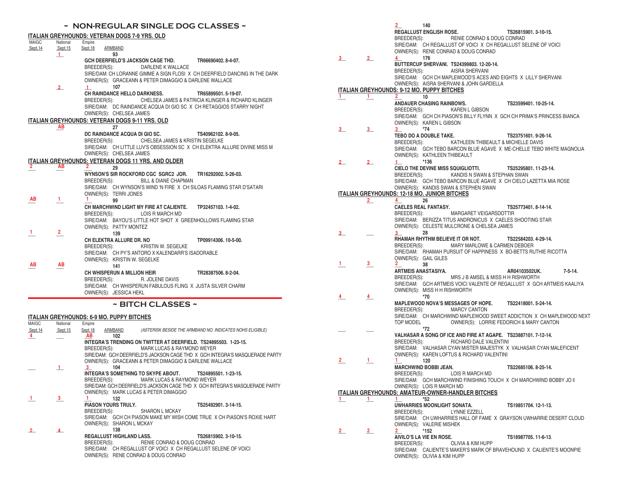## **~ NON-REGULAR SINGLE DOG CLASSES ~**

| MAIGC   | National     | Empire                                                                                       |  |
|---------|--------------|----------------------------------------------------------------------------------------------|--|
| Sept.14 | Sept.15      | Sept.18<br>ARMBAND                                                                           |  |
|         | $\mathbf{1}$ | 93                                                                                           |  |
|         |              | GCH DEERFIELD'S JACKSON CAGE THD. TR66690402.8-4-07.                                         |  |
|         |              | BREEDER(S): DARLENE K WALLACE                                                                |  |
|         |              | SIRE/DAM: CH LORANNE GIMME A SIGN FLOSI X CH DEERFIELD DANCING IN THE DARK                   |  |
|         |              | OWNER(S): GRACEANN & PETER DIMAGGIO & DARLENE WALLACE                                        |  |
|         | $2^{\circ}$  | 107<br>$\mathbf{1}$                                                                          |  |
|         |              | CH RAINDANCE HELLO DARKNESS.<br>TR65899501.5-19-07.                                          |  |
|         |              | BREEDER(S): CHELSEA JAMES & PATRICIA KLINGER & RICHARD KLINGER                               |  |
|         |              | SIRE/DAM: DC RAINDANCE ACQUA DI GIO SC X CH RETAGGIOS STARRY NIGHT                           |  |
|         |              | OWNER(S): CHELSEA JAMES                                                                      |  |
|         |              | <b>ITALIAN GREYHOUNDS: VETERAN DOGS 9-11 YRS, OLD</b>                                        |  |
|         | AB           | 27                                                                                           |  |
|         |              | DC RAINDANCE ACQUA DI GIO SC.<br>TS40962102, 8-9-05.                                         |  |
|         |              | BREEDER(S): CHELSEA JAMES & KRISTIN SEGELKE                                                  |  |
|         |              | SIRE/DAM: CH LITTLE LUV'S OBSESSION SC X CH ELEKTRA ALLURE DIVINE MISS M                     |  |
|         |              | OWNER(S): CHELSEA JAMES                                                                      |  |
|         |              | <b>ITALIAN GREYHOUNDS: VETERAN DOGS 11 YRS, AND OLDER</b>                                    |  |
| 2.      | ΑВ           | 29                                                                                           |  |
|         |              | WYNSON'S SIR ROCKFORD CGC SGRC2 JOR. TR16292002.5-26-03.                                     |  |
|         |              | BREEDER(S): BILL & DIANE CHAPMAN                                                             |  |
|         |              | SIRE/DAM: CH WYNSON'S WIND 'N FIRE X CH SILOAS FLAMING STAR D'SATARI                         |  |
|         |              | OWNER(S): TERRI JONES                                                                        |  |
| AB      | 1.           | 99                                                                                           |  |
|         |              | CH MARCHWIND LIGHT MY FIRE AT CALIENTE. TP32457103.1-4-02.                                   |  |
|         |              |                                                                                              |  |
|         |              | BREEDER(S): LOIS R MARCH MD<br>SIRE/DAM: BAYOU'S LITTLE HOT SHOT X GREENHOLLOWS FLAMING STAR |  |
|         |              |                                                                                              |  |
| 1.      | 2            | OWNER(S): PATTY MONTEZ                                                                       |  |
|         |              | 139                                                                                          |  |
|         |              | CH ELEKTRA ALLURE DR. NO<br>TP09914306, 10-5-00.                                             |  |
|         |              | BREEDER(S):<br>KRISTIN W. SEGELKE                                                            |  |
|         |              | SIRE/DAM: CH PY'S ANTORO X KALENDARR'S ISADORABLE                                            |  |
| AВ      |              | OWNER(S): KRISTIN W. SEGELKE                                                                 |  |
|         | AB           | 141                                                                                          |  |
|         |              | CH WHISPERUN A MILLION HEIR<br>TR28387506.8-2-04.                                            |  |
|         |              | R. JOLENE DAVIS<br>BREEDER(S):                                                               |  |
|         |              | SIRE/DAM: CH WHISPERUN FABULOUS FLING X JUSTA SILVER CHARM                                   |  |
|         |              | OWNER(S): JESSICA HEKL                                                                       |  |

### **ITALIAN GREYHOUNDS: 6-9 MO. PUPPY BITCHES**

| <b>MAIGC</b> | National       | Empire                                                                          |
|--------------|----------------|---------------------------------------------------------------------------------|
| Sept.14      | Sept. 15       | Sept.18<br>ARMBAND<br>(ASTERISK BESIDE THE ARMBAND NO. INDICATES NOHS ELIGIBLE) |
| 4            |                | AB<br>102                                                                       |
|              |                | INTEGRA'S TRENDING ON TWITTER AT DEERFIELD. TS24895503. 1-23-15.                |
|              |                | BREEDER(S):<br>MARK LUCAS & RAYMOND WEYER                                       |
|              |                | SIRE/DAM: GCH DEERFIELD'S JACKSON CAGE THD X GCH INTEGRA'S MASQUERADE PARTY     |
|              |                | OWNER(S): GRACEANN & PETER DIMAGGIO & DARLENE WALLACE                           |
|              | $\mathbf{1}$   | 104<br>3                                                                        |
|              |                | INTEGRA'S SOMETHING TO SKYPE ABOUT.<br>TS24895501, 1-23-15.                     |
|              |                | BREEDER(S):<br>MARK LUCAS & RAYMOND WEYER                                       |
|              |                | SIRE/DAM: GCH DEERFIELD'S JACKSON CAGE THD X GCH INTEGRA'S MASQUERADE PARTY     |
|              |                | OWNER(S): MARK LUCAS & PETER DIMAGGIO                                           |
|              | 3              | 132                                                                             |
|              |                | <b>PIASON YOURS TRULY.</b><br>TS25492901.3-14-15.                               |
|              |                | BREEDER(S):<br><b>SHARON L MCKAY</b>                                            |
|              |                | SIRE/DAM: GCH CH PIASON MAKE MY WISH COME TRUE X CH PIASON'S ROXIE HART         |
|              |                | OWNER(S): SHARON L MCKAY                                                        |
| $\mathbf{2}$ | $\overline{4}$ | 138                                                                             |
|              |                | <b>REGALLUST HIGHLAND LASS.</b><br>TS26815902.3-10-15.                          |
|              |                | BREEDER(S):<br>RENIE CONRAD & DOUG CONRAD                                       |
|              |                | SIRE/DAM: CH REGALLUST OF VOICL X CH REGALLUST SELENE OF VOICL                  |
|              |                | OWNER(S): RENE CONRAD & DOUG CONRAD                                             |

|                         |                | $\mathbf{2}$<br>140                                                                                       |                                         |
|-------------------------|----------------|-----------------------------------------------------------------------------------------------------------|-----------------------------------------|
|                         |                | <b>REGALLUST ENGLISH ROSE.</b>                                                                            | TS26815901.3-10-15.                     |
|                         |                | RENIE CONRAD & DOUG CONRAD<br>BREEDER(S):                                                                 |                                         |
|                         |                | SIRE/DAM: CH REGALLUST OF VOICIX CH REGALLUST SELENE OF VOICI                                             |                                         |
|                         |                | OWNER(S): RENE CONRAD & DOUG CONRAD                                                                       |                                         |
| $\frac{3}{2}$           | 2              | $\overline{4}$<br>176                                                                                     |                                         |
|                         |                | BUTTERCUP SHERVANI. TS24399803. 12-20-14.                                                                 |                                         |
|                         |                | BREEDER(S): AISRA SHERVANI                                                                                |                                         |
|                         |                | SIRE/DAM: GCH CH MAPLEWOOD'S ACES AND EIGHTS X LILLY SHERVANI<br>OWNER(S): AISRA SHERVANI & JOHN GARDELLA |                                         |
|                         |                | <b>ITALIAN GREYHOUNDS: 9-12 MO. PUPPY BITCHES</b>                                                         |                                         |
| $1 -$                   | $1_{-}$        | 10<br>$\sim$ 2                                                                                            |                                         |
|                         |                | ANDAUER CHASING RAINBOWS.                                                                                 | TS23599401, 10-25-14.                   |
|                         |                | BREEDER(S):<br>KAREN L GIBSON                                                                             |                                         |
|                         |                | SIRE/DAM: GCH CH PIASON'S BILLY FLYNN X GCH CH PRIMA'S PRINCESS BIANCA                                    |                                         |
|                         |                | OWNER(S): KAREN L GIBSON                                                                                  |                                         |
| $\overline{\mathbf{3}}$ | 3              | $*74$<br>3<br>TEBO DO A DOUBLE TAKE.                                                                      | TS23751601.9-26-14.                     |
|                         |                | BREEDER(S): KATHLEEN THIBEAULT & MICHELLE DAVIS                                                           |                                         |
|                         |                | SIRE/DAM: GCH TEBO BARCON BLUE AGAVE X ME-CHELLE TEBO WHITE MAGNOLIA                                      |                                         |
|                         |                | OWNER(S): KATHLEEN THIBEAULT                                                                              |                                         |
| $\mathbf{2}_{-}$        | $2-$           | *136<br>$\perp$                                                                                           |                                         |
|                         |                | CIELO THE DEVINE MISS SQUIGLIOTTI.                                                                        | TS25295801.11-23-14.                    |
|                         |                | KANDIS N SWAN & STEPHAN SWAN<br>BREEDER(S):                                                               |                                         |
|                         |                | SIRE/DAM: GCH TEBO BARCON BLUE AGAVE X CH CIELO LAZETTA MIA ROSE                                          |                                         |
|                         |                | OWNER(S): KANDIS SWAN & STEPHEN SWAN<br><b>ITALIAN GREYHOUNDS: 12-18 MO. JUNIOR BITCHES</b>               |                                         |
|                         | $\overline{2}$ | 26<br>$\overline{4}$                                                                                      |                                         |
|                         |                | <b>CAELES REAL FANTASY.</b>                                                                               | TS25773401, 8-14-14.                    |
|                         |                | MARGARET VEIGARSDOTTIR<br>BREEDER(S):                                                                     |                                         |
|                         |                | SIRE/DAM: BERIZZA TITUS ANDRONICUS X CAELES SHOOTING STAR                                                 |                                         |
|                         |                | OWNER(S): CELESTE MULCRONE & CHELSEA JAMES                                                                |                                         |
| $3_{-}$                 |                | 28<br>3<br>RHAMAH RHYTHM BELIEVE IT OR NOT.                                                               | TS22584203.4-29-14.                     |
|                         |                | BREEDER(S): MARY MARLOWE & CARMEN DEBOER                                                                  |                                         |
|                         |                | SIRE/DAM: RHAMAH PURSUIT OF HAPPINESS X BO-BETTS RUTHIE RICOTTA                                           |                                         |
|                         |                | OWNER(S): GAIL GILES                                                                                      |                                         |
| 1.                      | 3              | 2<br>38                                                                                                   |                                         |
|                         |                | ARTMEIS ANASTASIYA.                                                                                       | AR04103502UK.<br>7-5-14.                |
|                         |                | MRS J B AMSEL & MISS H H RISHWORTH<br>BREEDER(S):                                                         |                                         |
|                         |                | SIRE/DAM: GCH ARTMEIS VOICI VALENTE OF REGALLUST X GCH ARTMEIS KAALIYA<br>OWNER(S): MISS H H RISHWORTH    |                                         |
| 4                       | 4              | $*70$                                                                                                     |                                         |
|                         |                | MAPLEWOOD NOVA'S MESSAGES OF HOPE. TS22418001. 5-24-14.                                                   |                                         |
|                         |                | BREEDER(S): MARCY CANTON                                                                                  |                                         |
|                         |                | SIRE/DAM: CH MARCHWIND MAPLEWOOD SWEET ADDICTION X CH MAPLEWOOD NEXT                                      |                                         |
|                         |                | TOP MODEL                                                                                                 | OWNER(S): LORRIE FEDORICH & MARY CANTON |
|                         |                | *72<br>VALHASAR A SONG OF ICE AND FIRE AT AGAPE. TS23887101. 7-12-14.                                     |                                         |
|                         |                | BREEDER(S):<br>RICHARD DALE VALENTINI                                                                     |                                         |
|                         |                | SIRE/DAM: VALHASAR CYAN MISTER MAJESTYK X VALHASAR CYAN MALEFICENT                                        |                                         |
|                         |                | OWNER(S): KAREN LOFTUS & RICHARD VALENTINI                                                                |                                         |
| $\overline{2}$          | $\mathbf{1}$   | 120<br>1.                                                                                                 |                                         |
|                         |                | <b>MARCHWIND BOBBI JEAN.</b>                                                                              | TS22685106, 8-25-14.                    |
|                         |                | BREEDER(S):<br>LOIS R MARCH MD                                                                            |                                         |
|                         |                | SIRE/DAM: GCH MARCHWIND FINISHING TOUCH X CH MARCHWIND BOBBY JO II<br>OWNER(S): LOIS R MARCH MD           |                                         |
|                         |                | ITALIAN GREYHOUNDS: AMATEUR-OWNER-HANDLER BITCHES                                                         |                                         |
| $\mathbf{1}$            | $\mathbf{L}$   | *52<br>1.                                                                                                 |                                         |
|                         |                | UWHARRIES MOONLIGHT SONATA.                                                                               | TS19851704, 12-1-13.                    |
|                         |                | BREEDER(S):<br>LYNNE EZZELL                                                                               |                                         |
|                         |                | SIRE/DAM: CH UWHARRIES HALL OF FAME X GRAYSON UWHARRIE DESERT CLOUD                                       |                                         |
|                         | 2              | OWNER(S): VALERIE MISHEK<br>$\overline{2}$<br>$*152$                                                      |                                         |
| $\overline{2}$          |                | AIVILO'S LA VIE EN ROSE.                                                                                  | TS18987705, 11-6-13.                    |
|                         |                | BREEDER(S):<br>OLIVIA & KIM HUPP                                                                          |                                         |
|                         |                | SIRE/DAM: CALIENTE'S MAKER'S MARK OF BRAVEHOUND X CALIENTE'S MOONPIE                                      |                                         |

OWNER(S): OLIVIA & KIM HUPP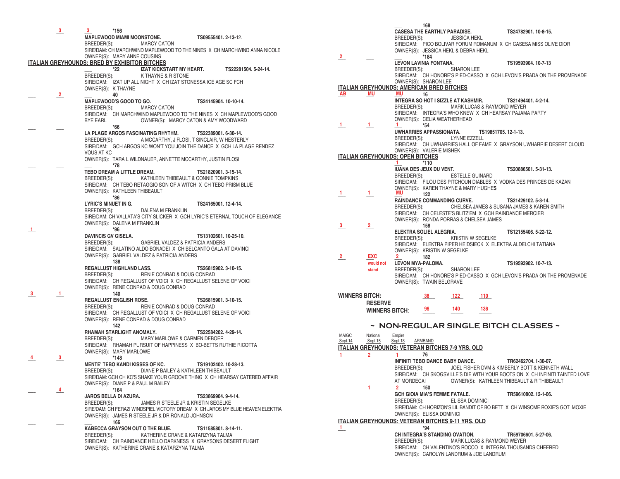**\_\_\_ \_\_\_ \*156 MAPLEWOOD MIAMI MOONSTONE. TS09555401. 2-13-1**2. BREEDER(S): MARCY CATON SIRE/DAM: CH MARCHWIND MAPLEWOOD TO THE NINES X CH MARCHWIND ANNA NICOLE OWNER(S): MARY ANNE COUSINS **ITALIAN GREYHOUNDS: BRED BY EXHIBITOR BITCHES \_\_\_ \*22 IZAT KICKSTART MY HEART. TS22281504. 5-24-14.** K THAYNE & R STONE SIRE/DAM: IZAT UP ALL NIGHT X CH IZAT STONESSA ICE AGE SC FCH OWNER(S): K THAYNE **\_\_\_ \_\_\_ \_\_\_ 40 MAPLEWOOD'S GOOD TO GO. TS24145904. 10-10-14.** BREEDER(S): MARCY CATON SIRE/DAM: CH MARCHWIND MAPLEWOOD TO THE NINES X CH MAPLEWOOD'S GOOD BYE EARL OWNER(S): MARCY CATON & AMY WOODWARD **\_\_\_ \_\_\_ \*66 LA PLAGE ARGOS FASCINATING RHYTHM. TS22389001. 6-30-14.** BREEDER(S): A MCCARTHY, J FLOSI, T SINCLAIR, W HESTERLY SIRE/DAM: GCH ARGOS KC WON'T YOU JOIN THE DANCE X GCH LA PLAGE RENDEZ VOUS AT KC OWNER(S): TARA L WILDNAUER, ANNETTE MCCARTHY, JUSTIN FLOSI **\_\_\_ \_\_\_ \_\_\_ \*78 TEBO DREAM A LITTLE DREAM. TS21820901. 3-15-14**. BREEDER(S): KATHLEEN THIBEAULT & CONNIE TOMPKINS SIRE/DAM: CH TEBO RETAGGIO SON OF A WITCH X CH TEBO PRISM BLUE OWNER(S): KATHLEEN THIBEAULT<br>\*86 **\_\_\_ \_\_\_ \_\_\_ \*86 LYRIC'S MINUET IN G.** TS24165001. 12-4-14.<br>BREEDER(S): DALENA M FRANKLIN DALENA M FRANKLIN SIRE/DAM: CH VALLATA'S CITY SLICKER X GCH LYRIC'S ETERNAL TOUCH OF ELEGANCE OWNER(S): DALENA M FRANKLIN **\_\_\_ \*96 DAVINCIS GV GISELA. TS13102601. 10-25-10.** GABRIEL VALDEZ & PATRICIA ANDERS SIRE/DAM: SALATINO ALDO BONADEI X CH BELCANTO GALA AT DAVINCI OWNER(S): GABRIEL VALDEZ & PATRICIA ANDERS  **\_\_\_ 138 REGALLUST HIGHLAND LASS. TS26815902. 3-10-15.** BREEDER(S): RENIE CONRAD & DOUG CONRAD SIRE/DAM: CH REGALLUST OF VOICI X CH REGALLUST SELENE OF VOICI OWNER(S): RENE CONRAD & DOUG CONRAD **\_\_\_ \_\_\_ 140 REGALLUST ENGLISH ROSE. TS26815901. 3-10-15.** BREEDER(S): RENIE CONRAD & DOUG CONRAD SIRE/DAM: CH REGALLUST OF VOICI X CH REGALLUST SELENE OF VOICI OWNER(S): RENE CONRAD & DOUG CONRAD **\_\_\_ \_\_\_ \_\_\_ 142 RHAMAH STARLIGHT ANOMALY. TS22584202. 4-29-14.** BREEDER(S): MARY MARLOWE & CARMEN DEBOER SIRE/DAM: RHAMAH PURSUIT OF HAPPINESS X BO-BETTS RUTHIE RICOTTA OWNER(S): MARY MARLOWE<br>\*148 **\_\_\_ \_\_\_ \*148 MENTE' TEBO KANDI KISSES OF KC. TS19102402. 10-28-13.** DIANE P BAILEY & KATHLEEN THIBEAULT SIRE/DAM: GCH CH KC'S SHAKE YOUR GROOVE THING X CH HEARSAY CATERED AFFAIR OWNER(S): DIANE P & PAUL M BAILEY<br>\*164 **\_\_\_ \_\_\_ \*164 JAROS BELLA DI AZURA. TS23869904. 9-4-14.** BREEDER(S): JAMES R STEELE JR & KRISTIN SEGELKE SIRE/DAM: CH FERAZI WINDSPIEL VICTORY DREAM X CH JAROS MY BLUE HEAVEN ELEKTRA OWNER(S): JAMES R STEELE JR & DR RONALD JOHNSON **\_\_\_ \_\_\_ \_\_\_ 166 KABECCA GRAYSON OUT O THE BLUE. TS11585801. 8-14-11.** BREEDER(S): KATHERINE CRANE & KATARZYNA TALMA SIRE/DAM: CH RAINDANCE HELLO DARKNESS X GRAYSONS DESERT FLIGHT OWNER(S): KATHERINE CRANE & KATARZYNA TALMA **3 3 2 1 3 1 4 3 4**

 **\_\_\_ 168 CASESA THE EARTHLY PARADISE.** TS24782901. 10-8-15.<br>
BREEDER(S): JESSICA HEKL **JESSICA HEKL**  SIRE/DAM: PICO BOLIVAR FORUM ROMANUM X CH CASESA MISS OLIVE DIOR OWNER(S): JESSICA HEKL & DEBRA HEKL **\_\_\_ \_\_\_ \_\_\_ \*184 LEVON LAVINIA FONTANA. TS19593904. 10-7-13** BREEDER(S): SHARON LEE SIRE/DAM: CH HONORE'S PIED-CASSO X GCH LEVON'S PRADA ON THE PROMENADE OWNER(S): SHARON LEE **ITALIAN GREYHOUNDS: AMERICAN BRED BITCHES AB**  $MU$   $MU$  16  **INTEGRA SO HOT I SIZZLE AT KASHMIR. TS21494401. 4-2-14.** MARK LUCAS & RAYMOND WEYER SIRE/DAM: INTEGRA'S WHO KNEW X CH HEARSAY PAJAMA PARTY OWNER(S): CELIA WEATHERHEAD  $1 \t1 \t1 \t*54$  **UWHARRIES APPASSIONATA. TS19851705. 12-1-13.** BREEDER(S): LYNNE EZZELL SIRE/DAM: CH UWHARRIES HALL OF FAME X GRAYSON UWHARRIE DESERT CLOUD OWNER(S): VALERIE MISHEK **ITALIAN GREYHOUNDS: OPEN BITCHES 1 IUANA DES JEUX DU VENT. TS20886501. 5-31-13.** ESTELLE GUINARD SIRE/DAM: FILOU DES PITCHOUN DIABLES X VODKA DES PRINCES DE KAZAN OWNER(S): KAREN THAYNE & MARY HUGHE**S \_\_\_ \_\_\_ \_\_\_ 122 RAINDANCE COMMANDING CURVE. TS21429102. 5-3-14.** CHELSEA JAMES & SUSANA JAMES & KAREN SMITH SIRE/DAM: CH CELESTE'S BLITZ'EM X GCH RAINDANCE MERCIER OWNER(S): RONDA PORRAS & CHELSEA JAMES **\_\_\_ \_\_\_ 158 ELEKTRA SOLIEL ALEGRIA. TS12155406. 5-22-12.** KRISTIN W SEGELKE SIRE/DAM: ELEKTRA PIPER HEIDSIECK X ELEKTRA ALDELCHI TATIANA OWNER(S): KRISTIN W SEGELKE<br>2 EXC 2 182 **\_\_\_ \_\_\_ \_\_\_ 182 2 EXC 2 LEVON MYA-PALOMA. TS19593902. 10-7-13.** SHARON LEE SIRE/DAM: CH HONORE'S PIED-CASSO X GCH LEVON'S PRADA ON THE PROMENADE OWNER(S): TWAIN BELGRAVE WINNERS BITCH:  $\frac{38}{2}$  122 110 **RESERVE WINNERS BITCH:**  $\frac{96}{20}$   $\frac{140}{20}$   $\frac{136}{20}$ **~ NON-REGULAR SINGLE BITCH CLASSES ~** MAIGC National Empire Sept.14 Sept.15 Sept.18 ARMBAND **ITALIAN GREYHOUNDS: VETERAN BITCHES 7-9 YRS. OLD \_\_\_ \_\_\_ \_\_\_ 76 INFINITI TEBO DANCE BABY DANCE. TR62462704. 1-30-07.**<br>BREEDER(S): JOEL FISHER DVM & KIMBERLY BOTT & KENNE JOEL FISHER DVM & KIMBERLY BOTT & KENNETH WALL SIRE/DAM: CH SKOGSVILLE'S DIE WITH YOUR BOOTS ON X CH INFINITI TAINTED LOVE AT MORDECAI OWNER(S): KATHLEEN THIBEAULT & R THIBEAULT OWNER(S): KATHLEEN THIBEAULT & R THIBEAULT **\_\_\_ \_\_\_ 150 GCH GIOIA MIA'S FEMME FATALE. TR59610802. 12-1-06.** BREEDER(S): ELISSA DOMINICI SIRE/DAM: CH HORIZON'S LIL BANDIT OF BO BETT X CH WINSOME ROXIE'S GOT MOXIE OWNER(S): ELISSA DOMINICI **ITALIAN GREYHOUNDS: VETERAN BITCHES 9-11 YRS. OLD \_\_\_ \*94 CH INTEGRA'S STANDING OVATION. TR59706601. 5-27-06.** MARK LUCAS & RAYMOND WEYER SIRE/DAM: CH VALENTINO'S ROCCO X INTEGRA THOUSANDS CHEERED **2 AB MU MU 1 1 1 1 1 1 1 1 1 1 MU 3 2 would not stand 122 1 2 1 1 2 1**

OWNER(S): CAROLYN LANDRUM & JOE LANDRUM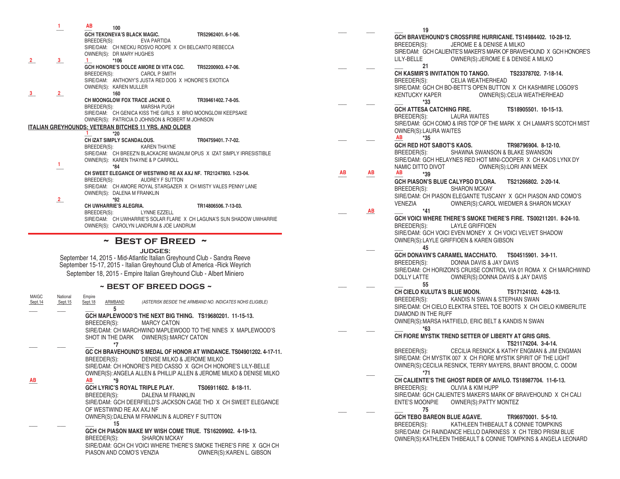|                         | 1.                  | AB<br>100                                                           |                                                                     |                                                                          |
|-------------------------|---------------------|---------------------------------------------------------------------|---------------------------------------------------------------------|--------------------------------------------------------------------------|
|                         |                     | <b>GCH TEKONEVA'S BLACK MAGIC.</b>                                  |                                                                     | TR52962401.6-1-06.                                                       |
|                         |                     | BREEDER(S):                                                         | EVA PARTIDA<br>SIRE/DAM: CH NECKU ROSVO ROOPE X CH BELCANTO REBECCA |                                                                          |
|                         |                     | OWNER(S): DR MARY HUGHES                                            |                                                                     |                                                                          |
| 2                       | 3                   | 1.<br>*106                                                          |                                                                     |                                                                          |
|                         |                     | BREEDER(S):                                                         | GCH HONORE'S DOLCE AMORE DI VITA CGC.<br><b>CAROL P SMITH</b>       | TR52200903.4-7-06.                                                       |
|                         |                     |                                                                     | SIRE/DAM: ANTHONY'S JUSTA RED DOG X HONORE'S EXOTICA                |                                                                          |
| 3                       | $\overline{2}$      | OWNER(S): KAREN MULLER<br>160                                       |                                                                     |                                                                          |
|                         |                     | CH MOONGLOW FOX TRACE JACKIE O.                                     |                                                                     | TR39461402.7-8-05.                                                       |
|                         |                     | BREEDER(S):                                                         | <b>MARSHA PUGH</b>                                                  | SIRE/DAM: CH GENICA KISS THE GIRLS X BRIO MOONGLOW KEEPSAKE              |
|                         |                     |                                                                     | OWNER(S): PATRICIA D JOHNSON & ROBERT M JOHNSON                     |                                                                          |
|                         |                     | <u>ITALIAN GREYHOUNDS: VETERAN BITCHES 11 YRS. AND OLDER</u><br>Т.  |                                                                     |                                                                          |
|                         |                     | $*20$<br>CH IZAT SIMPLY SCANDALOUS.                                 |                                                                     | TR04759401.7-7-02.                                                       |
|                         |                     | BREEDER(S):                                                         | <b>KAREN THAYNE</b>                                                 |                                                                          |
|                         |                     | OWNER(S): KAREN THAYNE & P CARROLL                                  |                                                                     | SIRE/DAM: CH BREEZ'N BLACKACRE MAGNUM OPUS X IZAT SIMPLY IRRESISTIBLE    |
|                         | 1.                  | *84                                                                 |                                                                     |                                                                          |
|                         |                     | BREEDER(S):                                                         | AUDREY F SUTTON                                                     | CH SWEET ELEGANCE OF WESTWIND RE AX AXJ NF. TR21247803. 1-23-04.         |
|                         |                     |                                                                     |                                                                     | SIRE/DAM: CH AMORE ROYAL STARGAZER X CH MISTY VALES PENNY LANE           |
|                         | $2_{-}$             | OWNER(S): DALENA M FRANKLIN<br>*92                                  |                                                                     |                                                                          |
|                         |                     | CH UWHARRIE'S ALEGRIA.                                              |                                                                     | TR14806506.7-13-03.                                                      |
|                         |                     | BREEDER(S):                                                         | LYNNE EZZELL                                                        | SIRE/DAM: CH UWHARRIE'S SOLAR FLARE X CH LAGUNA'S SUN SHADOW UWHARRIE    |
|                         |                     |                                                                     | OWNER(S): CAROLYN LANDRUM & JOE LANDRUM                             |                                                                          |
|                         |                     |                                                                     | $\sim$ BEST OF BREED $\sim$                                         |                                                                          |
|                         |                     |                                                                     |                                                                     |                                                                          |
|                         |                     |                                                                     | <b>JUDGES:</b>                                                      | September 14, 2015 - Mid-Atlantic Italian Greyhound Club - Sandra Reeve  |
|                         |                     |                                                                     |                                                                     | September 15-17, 2015 - Italian Greyhound Club of America - Rick Weyrich |
|                         |                     | September 18, 2015 - Empire Italian Greyhound Club - Albert Miniero |                                                                     |                                                                          |
|                         |                     |                                                                     | ~ BEST OF BREED DOGS ~                                              |                                                                          |
| <b>MAIGC</b><br>Sept.14 | National<br>Sept.15 | Empire<br>Sept.18<br>ARMBAND                                        |                                                                     | (ASTERISK BESIDE THE ARMBAND NO. INDICATES NOHS ELIGIBLE)                |
|                         |                     | 5                                                                   |                                                                     |                                                                          |
|                         |                     |                                                                     |                                                                     | GCH MAPLEWOOD'S THE NEXT BIG THING. TS19680201. 11-15-13.                |
|                         |                     | BREEDER(S):                                                         | <b>MARCY CATON</b>                                                  | SIRE/DAM: CH MARCHWIND MAPLEWOOD TO THE NINES X MAPLEWOOD'S              |
|                         |                     | SHOT IN THE DARK                                                    | OWNER(S): MARCY CATON                                               |                                                                          |
|                         |                     | *7                                                                  |                                                                     |                                                                          |
|                         |                     | BREEDER(S):                                                         | DENISE MILKO & JEROME MILKO                                         | GC CH BRAVEHOUND'S MEDAL OF HONOR AT WINDANCE. TS04901202. 4-17-11.      |
|                         |                     |                                                                     |                                                                     | SIRE/DAM: CH HONORE'S PIED CASSO X GCH CH HONORE'S LILY-BELLE            |
|                         |                     |                                                                     |                                                                     | OWNER(S): ANGELA ALLEN & PHILLIP ALLEN & JEROME MILKO & DENISE MILKO     |
| AB                      |                     | AB<br>*9<br>GCH LYRIC'S ROYAL TRIPLE PLAY.                          |                                                                     | TS06911602, 8-18-11.                                                     |
|                         |                     | BREEDER(S):                                                         | DALENA M FRANKLIN                                                   |                                                                          |
|                         |                     |                                                                     |                                                                     | SIRE/DAM: GCH DEERFIELD'S JACKSON CAGE THD X CH SWEET ELEGANCE           |
|                         |                     | OF WESTWIND RE AX AXJ NF                                            | OWNER(S): DALENA M FRANKLIN & AUDREY F SUTTON                       |                                                                          |
|                         |                     | 15                                                                  |                                                                     |                                                                          |
|                         |                     |                                                                     |                                                                     | GCH CH PIASON MAKE MY WISH COME TRUE. TS16209902. 4-19-13.               |
|                         |                     | BREEDER(S):                                                         | <b>SHARON MCKAY</b>                                                 | SIRE/DAM: GCH CH VOICI WHERE THERE'S SMOKE THERE'S FIRE X GCH CH         |
|                         |                     |                                                                     |                                                                     |                                                                          |

PIASON AND COMO'S VENZIA OWNER(S): KAREN L. GIBSON

**\_\_\_ \_\_\_ \_\_\_ 19 GCH BRAVEHOUND'S CROSSFIRE HURRICANE. TS14984402. 10-28-12.** BREEDER(S): JEROME E & DENISE A MILKO SIRE/DAM: GCH CALIENTE'S MAKER'S MARK OF BRAVEHOUND X GCH HONORE'S<br>LILY-BELLE OWNER(S):JEROME E & DENISE A MILKO OWNER(S): JEROME E & DENISE A MILKO **\_\_\_ \_\_\_ \_\_\_ 21 CH KASMIR'S INVITATION TO TANGO. TS23378702. 7-18-14.** CELIA WEATHERHEAD SIRE/DAM: GCH CH BO-BETT'S OPEN BUTTON X CH KASHMIRE LOGO9'S KENTUCKY KAPER OWNER(S):CELIA WEATHERHEAD **\_\_\_ \_\_\_ \_\_\_ \*33 GCH ATTESA CATCHING FIRE. TS18905501. 10-15-13.**<br>RREEDER(S): I AURA WAITES **LAURA WAITES**  SIRE/DAM: GCH COMO & IRIS TOP OF THE MARK X CH LAMAR'S SCOTCH MIST OWNER(S):LAURA WAITES **\_\_\_ \_\_\_ \_\_\_ \*35 GCH RED HOT SABOT'S KAOS. TR98796904. 8-12-10.** BREEDER(S): SHAWNA SWANSON & BLAKE SWANSON SIRE/DAM: GCH HELAYNES RED HOT MINI-COOPER X CH KAOS LYNX DY<br>NAMIC DITTO DIVOT OWNER(S):LORI ANN MEEK NAMIC DITTO DIVOT OWNER(S):LORI ANN MEEK<br>AB AB ARE  $*3\mathbf{q}$  $\frac{AB}{AB}$  **AB \*39 GCH PIASON'S BLUE CALYPSO D'LORA. TS21266802. 2-20-14.** BREEDER(S): SHARON MCKAY SIRE/DAM: CH PIASON ELEGANTE TUSCANY X GCH PIASON AND COMO'S VENEZIA OWNER(S):CAROL WIEDMER & SHARON MCKAY **\_\_\_ \_\_\_ \_\_\_ \*41 GCH VOICI WHERE THERE'S SMOKE THERE'S FIRE. TS00211201. 8-24-10.** BREEDER(S): LAYLE GRIFFIOEN SIRE/DAM: GCH VOICI EVEN MONEY X CH VOICI VELVET SHADOW OWNER(S):LAYLE GRIFFIOEN & KAREN GIBSON **\_\_\_ \_\_\_ 45 GCH DONAVIN'S CARAMEL MACCHIATO. TS04515901. 3-9-11.** DONNA DAVIS & JAY DAVIS SIRE/DAM: CH HORIZON'S CRUISE CONTROL VIA 01 ROMA X CH MARCHWIND<br>DOLLY LATTE OWNER(S):DONNA DAVIS & JAY DAVIS OWNER(S): DONNA DAVIS & JAY DAVIS **\_\_\_ \_\_\_ \_\_\_ 55 CH CIELO KULUTA'S BLUE MOON. TS17124102. 4-28-13.** BREEDER(S): KANDIS N SWAN & STEPHAN SWAN SIRE/DAM: CH CIELO ELEKTRA STEEL TOE BOOTS X CH CIELO KIMBERLITE DIAMOND IN THE RUFF OWNER(S):MARSA HATFIELD, ERIC BELT & KANDIS N SWAN **\_\_\_ \_\_\_ \_\_\_ \*63 CH FIORE MYSTIK TREND SETTER OF LIBERTY AT GRIS GRIS. TS21174204. 3-4-14.** BREEDER(S): CECILIA RESNICK & KATHY ENGMAN & JIM ENGMAN SIRE/DAM: CH MYSTIK 007 X CH FIORE MYSTIK SPIRIT OF THE LIGHT OWNER(S):CECILIA RESNICK, TERRY MAYERS, BRANT BROOM, C. ODOM **\_\_\_ \_\_\_ \*71 CH CALIENTE'S THE GHOST RIDER OF AIVILO. TS18987704. 11-6-13.** BREEDER(S): OLIVIA & KIM HUPP SIRE/DAM: GCH CALIENTE'S MAKER'S MARK OF BRAVEHOUND X CH CALI ENTE'S MOONPIE OWNER(S):PATTY MONTEZ **\_\_\_ \_\_\_ \_\_\_ 75 GCH TEBO BAREON BLUE AGAVE. TR96970001. 5-5-10.** KATHLEEN THIBEAULT & CONNIE TOMPKINS SIRE/DAM: CH RAINDANCE HELLO DARKNESS X CH TEBO PRISM BLUE OWNER(S):KATHLEEN THIBEAULT & CONNIE TOMPKINS & ANGELA LEONARD *AB* **AB AB AB AB**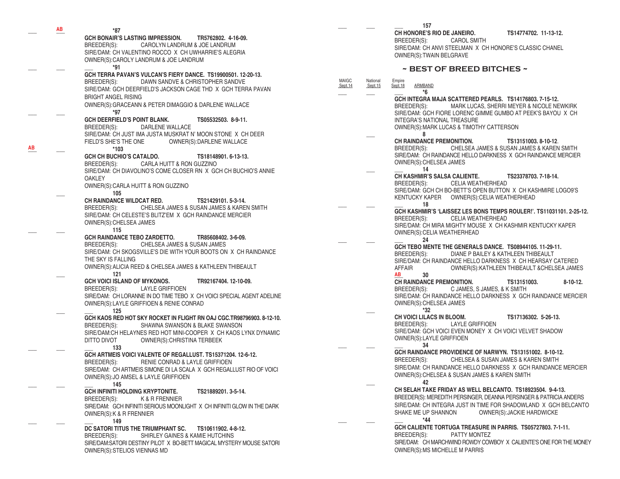|    | AВ | *87                                                                                                                                                                                                                                                                            |
|----|----|--------------------------------------------------------------------------------------------------------------------------------------------------------------------------------------------------------------------------------------------------------------------------------|
|    |    | GCH BONAIR'S LASTING IMPRESSION.<br>TR5762802. 4-16-09.<br>BREEDER(S): CAROLYN LANDRUM & JOE LANDRUM<br>SIRE/DAM: CH VALENTINO ROCCO X CH UWHARRIE'S ALEGRIA<br>OWNER(S): CAROLY LANDRUM & JOE LANDRUM<br>*91                                                                  |
|    |    | GCH TERRA PAVAN'S VULCAN'S FIERY DANCE. TS19900501. 12-20-13.<br>DAWN SANDVE & CHRISTOPHER SANDVE<br>BREEDER(S):<br>SIRE/DAM: GCH DEERFIELD'S JACKSON CAGE THD X GCH TERRA PAVAN<br><b>BRIGHT ANGEL RISING</b><br>OWNER(S): GRACEANN & PETER DIMAGGIO & DARLENE WALLACE<br>*97 |
| AВ |    | <b>GCH DEERFIELD'S POINT BLANK.</b><br>TS05532503, 8-9-11.<br>DARLENE WALLACE<br>BREEDER(S):<br>SIRE/DAM: CH JUST IMA JUSTA MUSKRAT N' MOON STONE X CH DEER<br>FIELD'S SHE'S THE ONE<br>OWNER(S):DARLENE WALLACE<br>*103                                                       |
|    |    | <b>GCH CH BUCHIO'S CATALDO.</b><br>TS18148901.6-13-13.<br>BREEDER(S): CARLA HUITT & RON GUZZINO<br>SIRE/DAM: CH DIAVOLINO'S COME CLOSER RN X GCH CH BUCHIO'S ANNIE<br><b>OAKLEY</b><br>OWNER(S): CARLA HUITT & RON GUZZINO<br>105                                              |
|    |    | CH RAINDANCE WILDCAT RED.<br>TS21429101.5-3-14.<br>BREEDER(S): CHELSEA JAMES & SUSAN JAMES & KAREN SMITH<br>SIRE/DAM: CH CELESTE'S BLITZ'EM X GCH RAINDANCE MERCIER<br>OWNER(S): CHELSEA JAMES<br>115                                                                          |
|    |    | <b>GCH RAINDANCE TEBO ZARDETTO.</b><br>TR85608402. 3-6-09.<br>BREEDER(S): CHELSEA JAMES & SUSAN JAMES<br>SIRE/DAM: CH SKOGSVILLE'S DIE WITH YOUR BOOTS ON X CH RAINDANCE<br>THE SKY IS FALLING<br>OWNER(S): ALICIA REED & CHELSEA JAMES & KATHLEEN THIBEAULT<br>121            |
|    |    | GCH VOICI ISLAND OF MYKONOS.<br>TR92167404.12-10-09.<br>BREEDER(S):<br>LAYLE GRIFFIOEN<br>SIRE/DAM: CH LORANNE IN DO TIME TEBO X CH VOICI SPECIAL AGENT ADELINE<br>OWNER(S): LAYLE GRIFFIOEN & RENIE CONRAD<br>125                                                             |
|    |    | GCH KAOS RED HOT SKY ROCKET IN FLIGHT RN OAJ CGC.TR98796903. 8-12-10.<br>BREEDER(S):<br>SHAWNA SWANSON & BLAKE SWANSON<br>SIRE/DAM: CH HELAYNES RED HOT MINI-COOPER X CH KAOS LYNX DYNAMIC<br>DITTO DIVOT<br>OWNER(S): CHRISTINA TERBEEK<br>133                                |
|    |    | GCH ARTMEIS VOICI VALENTE OF REGALLUST. TS15371204. 12-6-12.<br>BREEDER(S):<br>RENIE CONRAD & LAYLE GRIFFIOEN<br>SIRE/DAM: CH ARTMEIS SIMONE DI LA SCALA X GCH REGALLUST RIO OF VOICI<br>OWNER(S):JO AMSEL & LAYLE GRIFFIOEN<br>145                                            |
|    |    | GCH INFINITI HOLDING KRYPTONITE.<br>TS21889201.3-5-14.<br>BREEDER(S):<br>K & R FRENNIER<br>SIRE/DAM: GCH INFINITI SERIOUS MOONLIGHT X CH INFINITI GLOW IN THE DARK<br>OWNER(S): K & R FRENNIER<br>149                                                                          |
|    |    | DC SATORI TITUS THE TRIUMPHANT SC.<br>TS10611902.4-8-12.<br>SHIRLEY GAINES & KAMIE HUTCHINS<br>BREEDER(S):<br>SIRE/DAM:SATORI DESTINY PILOT X BO-BETT MAGICAL MYSTERY MOUSE SATORI<br>OWNER(S): STELIOS VIENNAS MD                                                             |

**AB**

**\_\_\_ \_\_\_ \_\_\_ 157**

 **CH HONORE'S RIO DE JANEIRO. TS14774702. 11-13-12.** BREEDER(S): CAROL SMITH SIRE/DAM: CH ANVI STEELMAN X CH HONORE'S CLASSIC CHANEL OWNER(S):TWAIN BELGRAVE

### **~ BEST OF BREED BITCHES ~**

MAIGC National Empire<br>
Sept.14 Sept.15 Sept.18 ARMBAND **\_\_\_ \_\_\_ \_\_\_ \*6 GCH INTEGRA MAJA SCATTERED PEARLS. TS14176803. 7-15-12.** MARK LUCAS, SHERRI MEYER & NICOLE NEWKIRK SIRE/DAM: GCH FIORE LORENC GIMME GUMBO AT PEEK'S BAYOU X CH INTEGRA'S NATIONAL TREASURE OWNER(S):MARK LUCAS & TIMOTHY CATTERSON **\_\_\_ 8 CH RAINDANCE PREMONITION.** TS13151003.8-10-12. BREEDER(S): CHELSEA JAMES & SUSAN JAMES & KAREN SMITH SIRE/DAM: CH RAINDANCE HELLO DARKNESS X GCH RAINDANCE MERCIER OWNER(S):CHELSEA JAMES **\_\_\_ \_\_\_ 14 CH KASHMIR'S SALSA CALIENTE. TS23378703. 7-18-14.** BREEDER(S): CELIA WEATHERHEAD SIRE/DAM: GCH CH BO-BETT'S OPEN BUTTON X CH KASHMIRE LOGO9'S KENTUCKY KAPER OWNER(S):CELIA WEATHERHEAD **\_\_\_ \_\_\_ \_\_\_ 18 GCH KASHMIR'S 'LAISSEZ LES BONS TEMPS ROULER!'. TS11031101. 2-25-12.** BREEDER(S): CELIA WEATHERHEAD SIRE/DAM: CH MIRA MIGHTY MOUSE X CH KASHMIR KENTUCKY KAPER OWNER(S):CELIA WEATHERHEAD **\_\_\_ \_\_\_ \_\_\_ 24 GCH TEBO MENTE THE GENERALS DANCE. TS08944105. 11-29-11.** BREEDER(S): DIANE P BAILEY & KATHLEEN THIBEAULT SIRE/DAM: CH RAINDANCE HELLO DARKNESS X CH HEARSAY CATERED AFFAIR OWNER(S):KATHLEEN THIBEAULT &CHELSEA JAMES **\_\_\_ 30 CH RAINDANCE PREMONITION. TS13151003. 8-10-12.** C JAMES, S JAMES, & K SMITH SIRE/DAM: CH RAINDANCE HELLO DARKNESS X GCH RAINDANCE MERCIER OWNER(S):CHELSEA JAMES **\_\_\_ \*32 CH VOICI LILACS IN BLOOM. TS17136302. 5-26-13.** BREEDER(S): LAYLE GRIFFIOEN SIRE/DAM: GCH VOICI EVEN MONEY X CH VOICI VELVET SHADOW OWNER(S):LAYLE GRIFFIOEN **\_\_\_ \_\_\_ \_\_\_ 34 GCH RAINDANCE PROVIDENCE OF NARWYN. TS13151002. 8-10-12.** BREEDER(S): CHELSEA & SUSAN JAMES & KAREN SMITH SIRE/DAM: CH RAINDANCE HELLO DARKNESS X GCH RAINDANCE MERCIER OWNER(S):CHELSEA & SUSAN JAMES & KAREN SMITH **\_\_\_ 42 CH SELAH TAKE FRIDAY AS WELL BELCANTO. TS18923504. 9-4-13.** BREEDER(S): MEREDITH PERSINGER, DEANNA PERSINGER & PATRICIA ANDERS SIRE/DAM: CH INTEGRA JUST IN TIME FOR SHADOWLAND X GCH BELCANTO<br>SHAKE ME UP SHANNON OWNER(S):JACKIE HARDWICKE OWNER(S): JACKIE HARDWICKE **\_\_\_ \_\_\_ \_\_\_ \*44 GCH CALIENTE TORTUGA TREASURE IN PARRIS. TS05727803. 7-1-11.** BREEDER(S): PATTY MONTEZ SIRE/DAM: CH MARCHWIND ROWDY COWBOY X CALIENTE'S ONE FOR THE MONEY OWNER(S):MS MICHELLE M PARRIS *AB*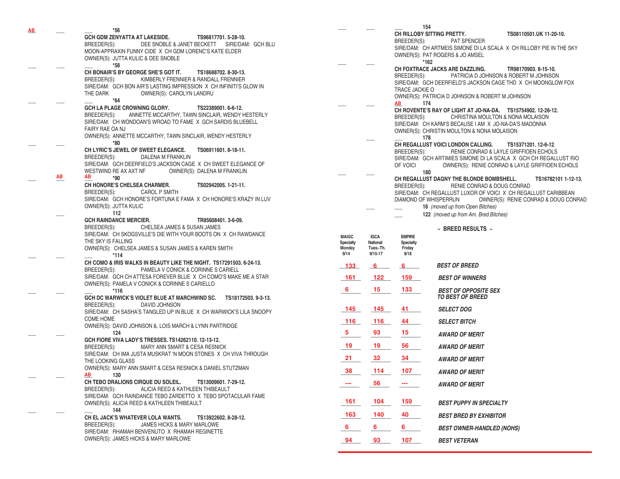|    |                           | $*56$                                                                                                                                                           |                     |                       | 154                                                                                                                                                                            |
|----|---------------------------|-----------------------------------------------------------------------------------------------------------------------------------------------------------------|---------------------|-----------------------|--------------------------------------------------------------------------------------------------------------------------------------------------------------------------------|
| AB |                           | GCH GDM ZENYATTA AT LAKESIDE.<br>TS96817701.5-28-10.<br>BREEDER(S):<br>DEE SNOBLE & JANET BECKETT SIRE/DAM: GCH BLU                                             |                     |                       | CH RILLOBY SITTING PRETTY.<br>TS08110501.UK 11-20-10.<br>PAT SPENCER<br>BREEDER(S):                                                                                            |
|    |                           | MOON-APPRAXIN FUNNY CIDE X CH GDM LORENC'S KATE ELDER<br>OWNER(S): JUTTA KULIC & DEE SNOBLE                                                                     |                     |                       | SIRE/DAM: CH ARTMEIS SIMONE DI LA SCALA X CH RILLOBY PIE IN THE SKY<br>OWNER(S): PAT ROGERS & JO AMSEL<br>*162                                                                 |
|    |                           | $*58$<br>CH BONAIR'S BY GEORGE SHE'S GOT IT.<br>TS18688702.8-30-13.<br>BREEDER(S):<br>KIMBERLY FRENNIER & RANDALL FRENNIER                                      |                     |                       | CH FOXTRACE JACKS ARE DAZZLING.<br>TR98170903.8-15-10.<br>PATRICIA D JOHNSON & ROBERT M JOHNSON<br>BREEDER(S):<br>SIRE/DAM: GCH DEERFIELD'S JACKSON CAGE THD X CH MOONGLOW FOX |
|    |                           | SIRE/DAM: GCH BON AIR'S LASTING IMPRESSION X CH INFINITI'S GLOW IN<br>THE DARK<br>OWNER(S): CAROLYN LANDRU<br>$*64$                                             |                     |                       | TRACE JACKIE O<br>OWNER(S): PATRICIA D JOHNSON & ROBERT M JOHNSON                                                                                                              |
|    |                           | GCH LA PLAGE CROWNING GLORY.<br>TS22389001.6-6-12.                                                                                                              |                     |                       | 174<br>AB<br>CH ROVENTE'S RAY OF LIGHT AT JO-NA-DA. TS15754902. 12-26-12.                                                                                                      |
|    |                           | BREEDER(S):<br>ANNETTE MCCARTHY, TAWN SINCLAIR, WENDY HESTERLY<br>SIRE/DAM: CH WONDOAN'S WROAD TO FAME X GCH SARDIS BLUEBELL<br>FAIRY RAE OA NJ                 |                     |                       | BREEDER(S):<br>CHRISTINA MOULTON & NONA MOLAISON<br>SIRE/DAM: CH KARM'S BECAUSE I AM X JO-NA-DA'S MADONNA                                                                      |
|    |                           | OWNER(S): ANNETTE MCCARTHY, TAWN SINCLAIR, WENDY HESTERLY                                                                                                       |                     |                       | OWNER(S): CHRISTIN MOULTON & NONA MOLAISON<br>178                                                                                                                              |
|    |                           | *80                                                                                                                                                             |                     |                       | CH REGALLUST VOICI LONDON CALLING.<br>TS15371201.12-6-12.                                                                                                                      |
|    |                           | CH LYRIC'S JEWEL OF SWEET ELEGANCE.<br>TS06911601.8-18-11.<br>BREEDER(S):<br>DALENA M FRANKLIN<br>SIRE/DAM: GCH DEERFIELD'S JACKSON CAGE X CH SWEET ELEGANCE OF |                     |                       | RENIE CONRAD & LAYLE GRIFFIOEN ECHOLS<br>BREEDER(S):<br>SIRE/DAM: GCH ARTIMIES SIMONE DI LA SCALA X GCH CH REGALLUST RIO                                                       |
|    |                           | WESTWIND RE AX AXT NF<br>OWNER(S): DALENA M FRANKLIN                                                                                                            |                     |                       | OF VOICI<br>OWNER(S): RENIE CONRAD & LAYLE GRIFFIOEN ECHOLS<br>180                                                                                                             |
|    | $\underline{\mathsf{AB}}$ | AB<br>*90                                                                                                                                                       |                     |                       | CH REGALLUST DAGNY THE BLONDE BOMBSHELL.<br>TS16782101 1-12-13.                                                                                                                |
|    |                           | CH HONORE'S CHELSEA CHARMER.<br>TS02942005.1-21-11.<br>BREEDER(S):<br><b>CAROL P SMITH</b>                                                                      |                     |                       | BREEDER(S):<br>RENIE CONRAD & DOUG CONRAD<br>SIRE/DAM: CH REGALLUST LUXOR OF VOICI X CH REGALLUST CARIBBEAN                                                                    |
|    |                           | SIRE/DAM: GCH HONORE'S FORTUNA E FAMA X CH HONORE'S KRAZY IN LUV<br>OWNER(S): JUTTA KULIC                                                                       |                     |                       | DIAMOND OF WHISPERRUN<br>OWNER(S): RENIE CONRAD & DOUG CONRA<br>16 (moved up from Open Bitches)                                                                                |
|    |                           | 112                                                                                                                                                             |                     |                       | 122 (moved up from Am. Bred Bitches)                                                                                                                                           |
|    |                           | <b>GCH RAINDANCE MERCIER.</b><br>TR85608401.3-6-09.                                                                                                             |                     |                       |                                                                                                                                                                                |
|    |                           | BREEDER(S):<br>CHELSEA JAMES & SUSAN JAMES                                                                                                                      |                     |                       | $\sim$ BREED RESULTS $\sim$                                                                                                                                                    |
|    |                           | SIRE/DAM: CH SKOGSVILLE'S DIE WITH YOUR BOOTS ON X CH RAWDANCE<br>THE SKY IS FALLING                                                                            | <b>MAIGC</b>        | <b>IGCA</b>           | <b>EMPIRE</b>                                                                                                                                                                  |
|    |                           | OWNER(S): CHELSEA JAMES & SUSAN JAMES & KAREN SMITH                                                                                                             | Specialty<br>Monday | National<br>Tues.-Th. | Specialty<br>Friday                                                                                                                                                            |
|    |                           | $*114$                                                                                                                                                          | 9/14                | $9/15 - 17$           | 9/18                                                                                                                                                                           |
|    |                           | CH COMO & IRIS WALKS IN BEAUTY LIKE THE NIGHT. TS17291503. 6-24-13.                                                                                             | $-133$              | 6                     | <b>BEST OF BREED</b><br>$6 -$                                                                                                                                                  |
|    |                           | BREEDER(S):<br>PAMELA V CONICK & CORINNE S CARIELL<br>SIRE/DAM: GCH CH ATTESA FOREVER BLUE X CH COMO'S MAKE ME A STAR                                           | 161                 | 122                   | 159<br><b>BEST OF WINNERS</b>                                                                                                                                                  |
|    |                           | OWNER(S): PAMELA V CONICK & CORINNE S CARIELLO                                                                                                                  |                     |                       |                                                                                                                                                                                |
|    |                           | $*116$<br>GCH DC WARWICK'S VIOLET BLUE AT MARCHWIND SC. TS18172503. 9-3-13.                                                                                     | 6                   | 15                    | 133<br><b>BEST OF OPPOSITE SEX</b><br><b>TO BEST OF BREED</b>                                                                                                                  |
|    |                           | BREEDER(S):<br>DAVID JOHNSON<br>SIRE/DAM: CH SASHA'S TANGLED UP IN BLUE X CH WARWICK'S LILA SNOOPY                                                              | 145                 | 145                   | 41<br><b>SELECT DOG</b>                                                                                                                                                        |
|    |                           | <b>COME HOME</b>                                                                                                                                                | 116                 | 116                   | 44<br><b>SELECT BITCH</b>                                                                                                                                                      |
|    |                           | OWNER(S): DAVID JOHNSON &, LOIS MARCH & LYNN PARTRIDGE<br>124                                                                                                   | $5^{\circ}$         | 93                    | 15<br><b>AWARD OF MERIT</b>                                                                                                                                                    |
|    |                           | GCH FIORE VIVA LADY'S TRESSES. TS14262110. 12-13-12.<br>BREEDER(S):<br>MARY ANN SMART & CESA RESNICK                                                            | 19                  | 19                    | 56<br><b>AWARD OF MERIT</b>                                                                                                                                                    |
|    |                           | SIRE/DAM: CH IMA JUSTA MUSKRAT 'N MOON STONES X CH VIVA THROUGH<br>THE LOOKING GLASS                                                                            | 21                  | 32                    | 34<br><b>AWARD OF MERIT</b>                                                                                                                                                    |
|    |                           | OWNER(S): MARY ANN SMART & CESA RESNICK & DANIEL STUTZMAN<br>AB 130                                                                                             | 38                  | 114                   | 107<br><b>AWARD OF MERIT</b>                                                                                                                                                   |
|    |                           | CH TEBO DRALIONS CIRQUE DU SOLEIL.<br>TS13009601, 7-29-12.                                                                                                      |                     | 56                    | $\sim$<br><b>AWARD OF MERIT</b>                                                                                                                                                |
|    |                           | BREEDER(S):<br>ALICIA REED & KATHLEEN THIBEAULT<br>SIRE/DAM: GCH RAINDANCE TEBO ZARDETTO X TEBO SPOTACULAR FAME                                                 |                     |                       |                                                                                                                                                                                |
|    |                           | OWNER(S): ALICIA REED & KATHLEEN THIBEAULT                                                                                                                      | 161                 | 104                   | 159<br><b>BEST PUPPY IN SPECIALTY</b>                                                                                                                                          |
|    |                           | 144<br>CH EL JACK'S WHATEVER LOLA WANTS.<br>TS13922602. 8-28-12.                                                                                                | 163                 | 140                   | 40<br><b>BEST BRED BY EXHIBITOR</b>                                                                                                                                            |
|    |                           | BREEDER(S):<br>JAMES HICKS & MARY MARLOWE<br>SIRE/DAM: RHAMAH BENVENUTO X RHAMAH REGINETTE                                                                      | 6                   | 6                     | 6.<br><b>BEST OWNER-HANDLED (NOHS)</b>                                                                                                                                         |
|    |                           | OWNER(S): JAMES HICKS & MARY MARLOWE                                                                                                                            | 94                  | 93 —                  | 107<br><b>BEST VETERAN</b>                                                                                                                                                     |
|    |                           |                                                                                                                                                                 |                     |                       |                                                                                                                                                                                |